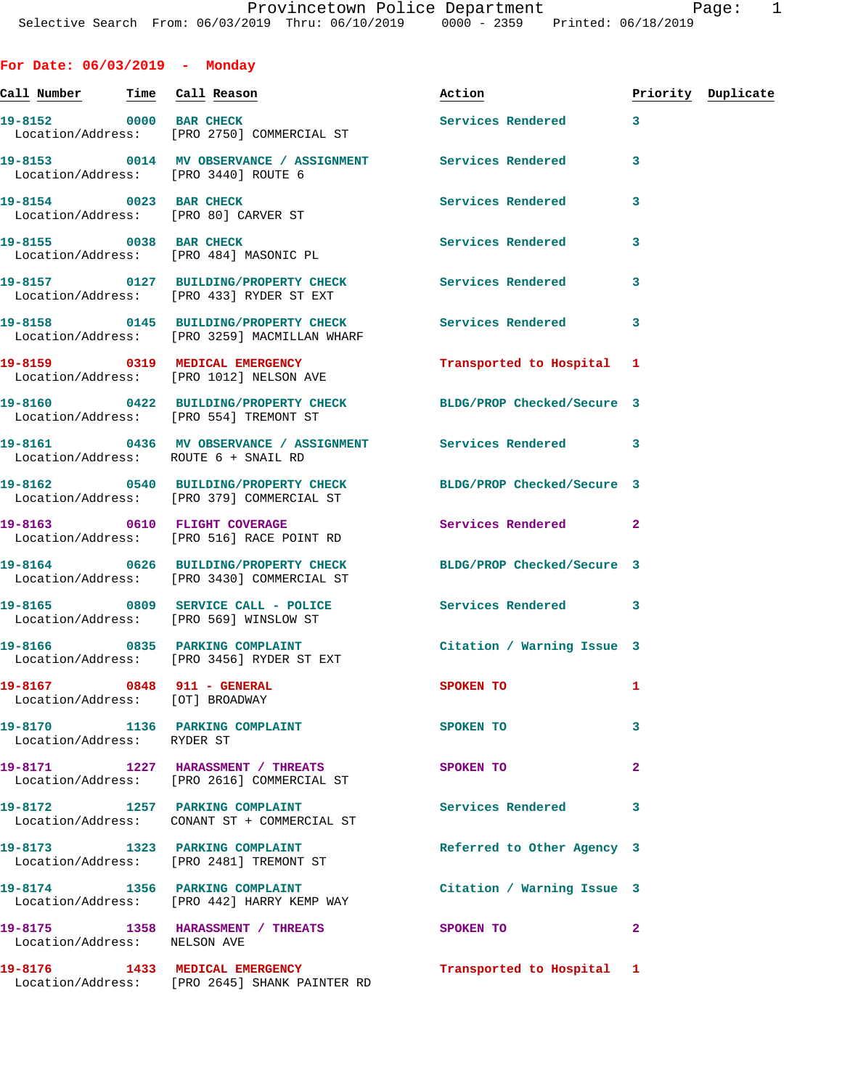|  |  | For Date: 06/03/2019 |  | Monday |
|--|--|----------------------|--|--------|
|--|--|----------------------|--|--------|

| Call Number Time Call Reason |                                                                                                               | Action                                                                                                         |                | Priority Duplicate |
|------------------------------|---------------------------------------------------------------------------------------------------------------|----------------------------------------------------------------------------------------------------------------|----------------|--------------------|
|                              | 19-8152 0000 BAR CHECK<br>Location/Address: [PRO 2750] COMMERCIAL ST                                          | Services Rendered                                                                                              | 3              |                    |
|                              | 19-8153 0014 MV OBSERVANCE / ASSIGNMENT Services Rendered<br>Location/Address: [PRO 3440] ROUTE 6             |                                                                                                                | 3              |                    |
|                              | 19-8154 0023 BAR CHECK<br>Location/Address: [PRO 80] CARVER ST                                                | Services Rendered                                                                                              | 3              |                    |
| 19-8155 0038 BAR CHECK       | Location/Address: [PRO 484] MASONIC PL                                                                        | Services Rendered                                                                                              | 3              |                    |
|                              | 19-8157 		 0127 BUILDING/PROPERTY CHECK Services Rendered<br>Location/Address: [PRO 433] RYDER ST EXT         |                                                                                                                | 3              |                    |
|                              | 19-8158 		 0145 BUILDING/PROPERTY CHECK Services Rendered<br>Location/Address: [PRO 3259] MACMILLAN WHARF     |                                                                                                                | 3              |                    |
|                              | 19-8159 0319 MEDICAL EMERGENCY<br>Location/Address: [PRO 1012] NELSON AVE                                     | Transported to Hospital 1                                                                                      |                |                    |
|                              | 19-8160 0422 BUILDING/PROPERTY CHECK BLDG/PROP Checked/Secure 3<br>Location/Address: [PRO 554] TREMONT ST     |                                                                                                                |                |                    |
|                              | 19-8161 0436 MV OBSERVANCE / ASSIGNMENT Services Rendered<br>Location/Address: ROUTE 6 + SNAIL RD             |                                                                                                                | 3              |                    |
|                              | 19-8162 0540 BUILDING/PROPERTY CHECK BLDG/PROP Checked/Secure 3<br>Location/Address: [PRO 379] COMMERCIAL ST  |                                                                                                                |                |                    |
|                              | 19-8163 0610 FLIGHT COVERAGE<br>Location/Address: [PRO 516] RACE POINT RD                                     | Services Rendered                                                                                              | $\mathbf{2}$   |                    |
|                              | 19-8164 0626 BUILDING/PROPERTY CHECK BLDG/PROP Checked/Secure 3<br>Location/Address: [PRO 3430] COMMERCIAL ST |                                                                                                                |                |                    |
|                              | 19-8165 0809 SERVICE CALL - POLICE<br>Location/Address: [PRO 569] WINSLOW ST                                  | Services Rendered                                                                                              | 3              |                    |
|                              | 19-8166 0835 PARKING COMPLAINT<br>Location/Address: [PRO 3456] RYDER ST EXT                                   | Citation / Warning Issue 3                                                                                     |                |                    |
| 19-8167 0848 911 - GENERAL   | Location/Address: [OT] BROADWAY                                                                               | SPOKEN TO THE STATE OF THE STATE OF THE STATE OF THE STATE OF THE STATE OF THE STATE OF THE STATE OF THE STATE | 1              |                    |
| Location/Address: RYDER ST   | 19-8170 1136 PARKING COMPLAINT                                                                                | SPOKEN TO                                                                                                      | 3              |                    |
|                              | 19-8171 1227 HARASSMENT / THREATS<br>Location/Address: [PRO 2616] COMMERCIAL ST                               | SPOKEN TO                                                                                                      | $\overline{a}$ |                    |
|                              | 19-8172 1257 PARKING COMPLAINT<br>Location/Address: CONANT ST + COMMERCIAL ST                                 | Services Rendered                                                                                              | 3              |                    |
|                              | 19-8173 1323 PARKING COMPLAINT<br>Location/Address: [PRO 2481] TREMONT ST                                     | Referred to Other Agency 3                                                                                     |                |                    |
|                              | 19-8174 1356 PARKING COMPLAINT<br>Location/Address: [PRO 442] HARRY KEMP WAY                                  | Citation / Warning Issue 3                                                                                     |                |                    |
| Location/Address: NELSON AVE | 19-8175 1358 HARASSMENT / THREATS                                                                             | SPOKEN TO                                                                                                      | $\mathbf{2}$   |                    |
|                              | 19-8176 1433 MEDICAL EMERGENCY<br>Location/Address: [PRO 2645] SHANK PAINTER RD                               | Transported to Hospital 1                                                                                      |                |                    |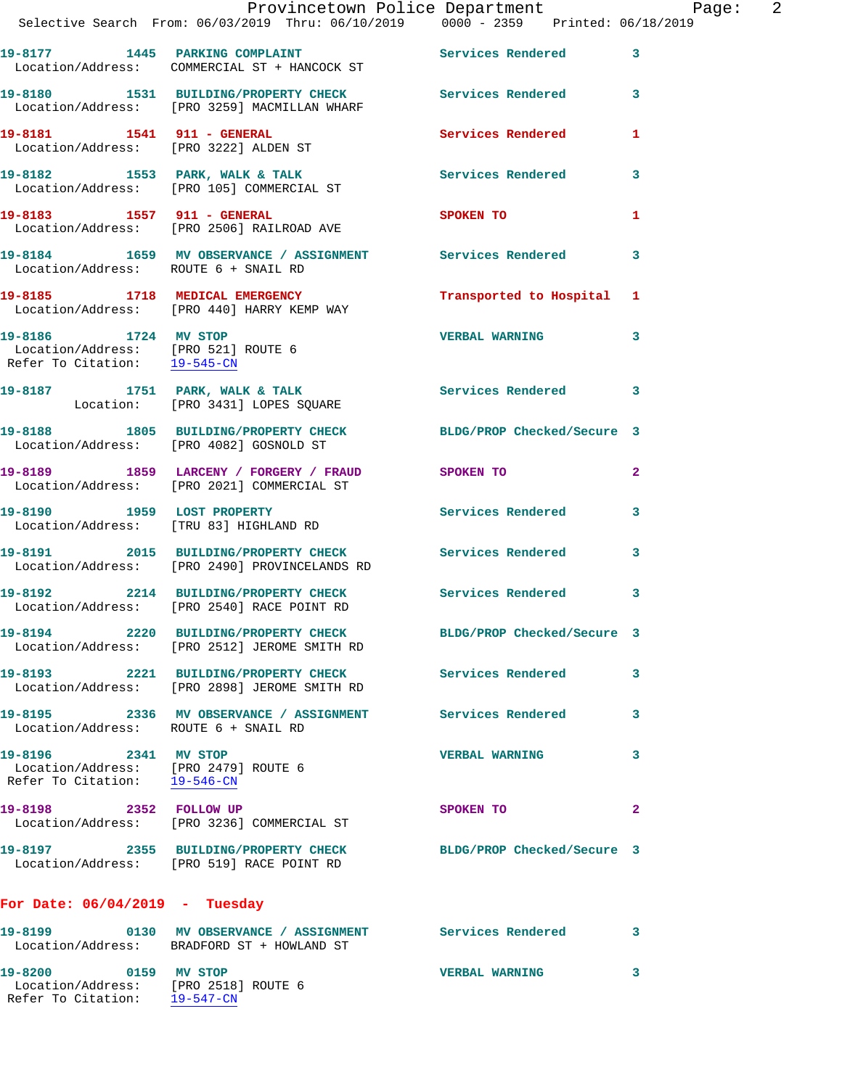|                                                                                              | Provincetown Police Department Page: 2<br>Selective Search From: $06/03/2019$ Thru: $06/10/2019$ 0000 - 2359 Printed: 06/18/2019 |                       |                         |
|----------------------------------------------------------------------------------------------|----------------------------------------------------------------------------------------------------------------------------------|-----------------------|-------------------------|
|                                                                                              | 19-8177 1445 PARKING COMPLAINT Services Rendered 3<br>Location/Address: COMMERCIAL ST + HANCOCK ST                               |                       |                         |
|                                                                                              | 19-8180 1531 BUILDING/PROPERTY CHECK Services Rendered 3<br>Location/Address: [PRO 3259] MACMILLAN WHARF                         |                       |                         |
|                                                                                              | <b>19-8181 1541    911 - GENERAL</b><br>Location/Address: [PRO 3222] ALDEN ST                                                    | Services Rendered 1   |                         |
|                                                                                              | 19-8182 1553 PARK, WALK & TALK STARE Services Rendered 3<br>Location/Address: [PRO 105] COMMERCIAL ST                            |                       |                         |
|                                                                                              | 19-8183 1557 911 - GENERAL<br>Location/Address: [PRO 2506] RAILROAD AVE                                                          | SPOKEN TO             | 1                       |
| Location/Address: ROUTE 6 + SNAIL RD                                                         | 19-8184 1659 MV OBSERVANCE / ASSIGNMENT Services Rendered                                                                        |                       | $\overline{\mathbf{3}}$ |
|                                                                                              | 19-8185 1718 MEDICAL EMERGENCY 1 Transported to Hospital 1<br>Location/Address: [PRO 440] HARRY KEMP WAY                         |                       |                         |
| Location/Address: [PRO 521] ROUTE 6<br>Refer To Citation: 19-545-CN                          | 19-8186 1724 MV STOP                                                                                                             | <b>VERBAL WARNING</b> | 3                       |
|                                                                                              | 19-8187 1751 PARK, WALK & TALK Services Rendered 3<br>Location: [PRO 3431] LOPES SQUARE                                          |                       |                         |
|                                                                                              | 19-8188 1805 BUILDING/PROPERTY CHECK BLDG/PROP Checked/Secure 3<br>Location/Address: [PRO 4082] GOSNOLD ST                       |                       |                         |
|                                                                                              | 19-8189 1859 LARCENY / FORGERY / FRAUD SPOKEN TO<br>Location/Address: [PRO 2021] COMMERCIAL ST                                   |                       | $\overline{a}$          |
|                                                                                              | 19-8190 1959 LOST PROPERTY<br>Location/Address: [TRU 83] HIGHLAND RD                                                             | Services Rendered 3   |                         |
|                                                                                              | 19-8191 2015 BUILDING/PROPERTY CHECK Services Rendered<br>Location/Address: [PRO 2490] PROVINCELANDS RD                          |                       | $\overline{\mathbf{3}}$ |
|                                                                                              | 19-8192 2214 BUILDING/PROPERTY CHECK Services Rendered<br>Location/Address: [PRO 2540] RACE POINT RD                             |                       | 3                       |
|                                                                                              | 19-8194 2220 BUILDING/PROPERTY CHECK BLDG/PROP Checked/Secure 3<br>Location/Address: [PRO 2512] JEROME SMITH RD                  |                       |                         |
|                                                                                              | 19-8193 2221 BUILDING/PROPERTY CHECK Services Rendered<br>Location/Address: [PRO 2898] JEROME SMITH RD                           |                       | 3                       |
| Location/Address: ROUTE 6 + SNAIL RD                                                         | 19-8195 2336 MV OBSERVANCE / ASSIGNMENT Services Rendered 3                                                                      |                       |                         |
| 19-8196 2341 MV STOP<br>Location/Address: [PRO 2479] ROUTE 6<br>Refer To Citation: 19-546-CN |                                                                                                                                  | <b>VERBAL WARNING</b> | 3                       |
| 19-8198 2352 FOLLOW UP                                                                       | Location/Address: [PRO 3236] COMMERCIAL ST                                                                                       | SPOKEN TO             | $\mathbf{2}$            |
|                                                                                              | 19-8197   2355   BUILDING/PROPERTY CHECK   BLDG/PROP Checked/Secure   3<br>Location/Address: [PRO 519] RACE POINT RD             |                       |                         |
| For Date: $06/04/2019$ - Tuesday                                                             |                                                                                                                                  |                       |                         |
|                                                                                              | 19-8199 		 0130 MV OBSERVANCE / ASSIGNMENT Services Rendered 3<br>Location/Address: BRADFORD ST + HOWLAND ST                     |                       |                         |
| 19-8200 0159 MV STOP<br>Location/Address: [PRO 2518] ROUTE 6                                 |                                                                                                                                  | <b>VERBAL WARNING</b> | 3                       |

Refer To Citation: 19-547-CN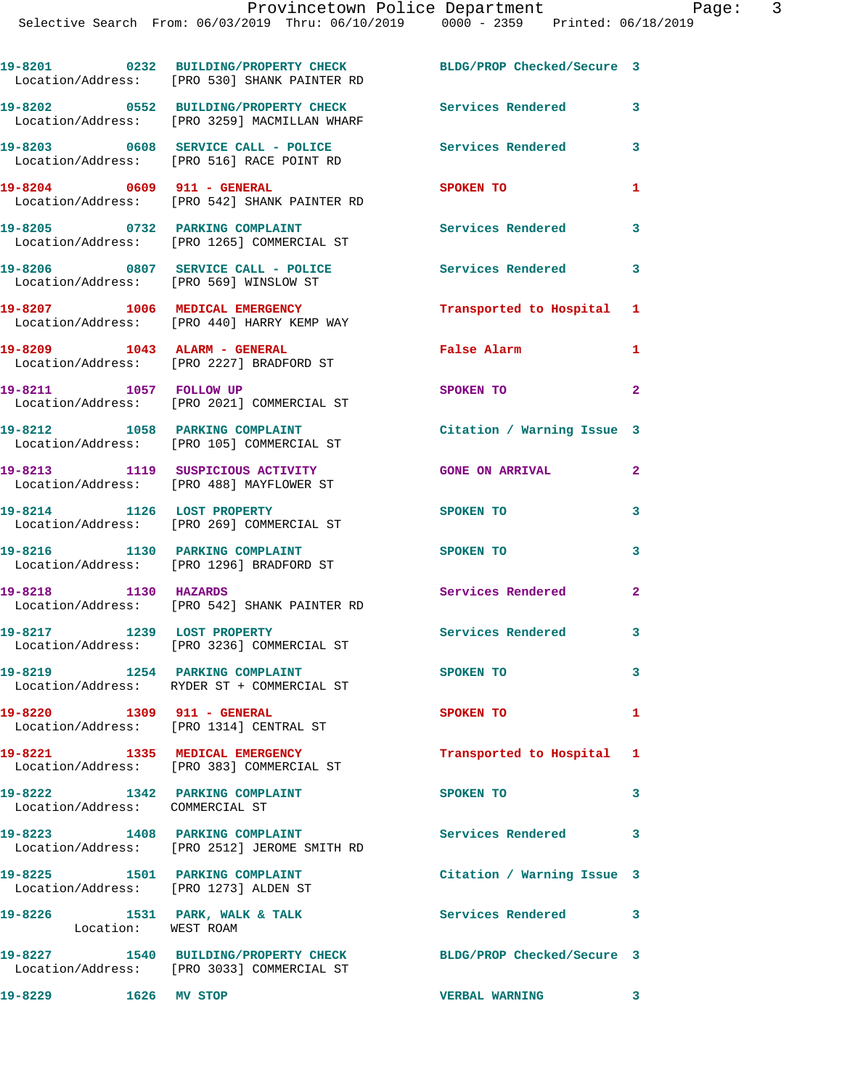**19-8201 0232 BUILDING/PROPERTY CHECK BLDG/PROP Checked/Secure 3** 

Location/Address: [PRO 530] SHANK PAINTER RD

| rayt             |
|------------------|
| ited: 06/18/2019 |

|                                                                   | 19-8202 0552 BUILDING/PROPERTY CHECK Services Rendered<br>Location/Address: [PRO 3259] MACMILLAN WHARF        |                            | 3              |
|-------------------------------------------------------------------|---------------------------------------------------------------------------------------------------------------|----------------------------|----------------|
|                                                                   | 19-8203 0608 SERVICE CALL - POLICE<br>Location/Address: [PRO 516] RACE POINT RD                               | Services Rendered          | 3              |
| 19-8204 0609 911 - GENERAL                                        | Location/Address: [PRO 542] SHANK PAINTER RD                                                                  | SPOKEN TO                  | 1              |
|                                                                   | 19-8205 0732 PARKING COMPLAINT<br>Location/Address: [PRO 1265] COMMERCIAL ST                                  | Services Rendered          | 3              |
|                                                                   | 19-8206 0807 SERVICE CALL - POLICE<br>Location/Address: [PRO 569] WINSLOW ST                                  | <b>Services Rendered</b>   | 3              |
|                                                                   | 19-8207 1006 MEDICAL EMERGENCY<br>Location/Address: [PRO 440] HARRY KEMP WAY                                  | Transported to Hospital 1  |                |
|                                                                   | 19-8209 1043 ALARM - GENERAL<br>Location/Address: [PRO 2227] BRADFORD ST                                      | False Alarm                | 1              |
| 19-8211 1057 FOLLOW UP                                            | Location/Address: [PRO 2021] COMMERCIAL ST                                                                    | SPOKEN TO                  | $\mathbf{2}$   |
|                                                                   | 19-8212 1058 PARKING COMPLAINT<br>Location/Address: [PRO 105] COMMERCIAL ST                                   | Citation / Warning Issue 3 |                |
|                                                                   | 19-8213 1119 SUSPICIOUS ACTIVITY<br>Location/Address: [PRO 488] MAYFLOWER ST                                  | <b>GONE ON ARRIVAL</b>     | $\overline{a}$ |
|                                                                   | 19-8214 1126 LOST PROPERTY<br>Location/Address: [PRO 269] COMMERCIAL ST                                       | SPOKEN TO                  | 3              |
|                                                                   | 19-8216 1130 PARKING COMPLAINT<br>Location/Address: [PRO 1296] BRADFORD ST                                    | SPOKEN TO                  | 3              |
| 19-8218 1130 HAZARDS                                              | Location/Address: [PRO 542] SHANK PAINTER RD                                                                  | Services Rendered          | 2              |
| 19-8217 1239 LOST PROPERTY                                        | Location/Address: [PRO 3236] COMMERCIAL ST                                                                    | Services Rendered          | 3              |
|                                                                   | 19-8219 1254 PARKING COMPLAINT<br>Location/Address: RYDER ST + COMMERCIAL ST                                  | SPOKEN TO                  | 3              |
| 19-8220 1309 911 - GENERAL                                        | Location/Address: [PRO 1314] CENTRAL ST                                                                       | SPOKEN TO                  |                |
|                                                                   | 19-8221 1335 MEDICAL EMERGENCY<br>Location/Address: [PRO 383] COMMERCIAL ST                                   | Transported to Hospital    | $\mathbf{1}$   |
| 19-8222 1342 PARKING COMPLAINT<br>Location/Address: COMMERCIAL ST |                                                                                                               | SPOKEN TO                  | 3              |
|                                                                   | 19-8223 1408 PARKING COMPLAINT<br>Location/Address: [PRO 2512] JEROME SMITH RD                                | Services Rendered          | 3              |
| 19-8225 1501 PARKING COMPLAINT                                    | Location/Address: [PRO 1273] ALDEN ST                                                                         | Citation / Warning Issue 3 |                |
| Location: WEST ROAM                                               | 19-8226 1531 PARK, WALK & TALK                                                                                | Services Rendered          | 3              |
|                                                                   | 19-8227 1540 BUILDING/PROPERTY CHECK BLDG/PROP Checked/Secure 3<br>Location/Address: [PRO 3033] COMMERCIAL ST |                            |                |
| 19-8229 1626 MV STOP                                              |                                                                                                               | <b>VERBAL WARNING</b>      | 3              |
|                                                                   |                                                                                                               |                            |                |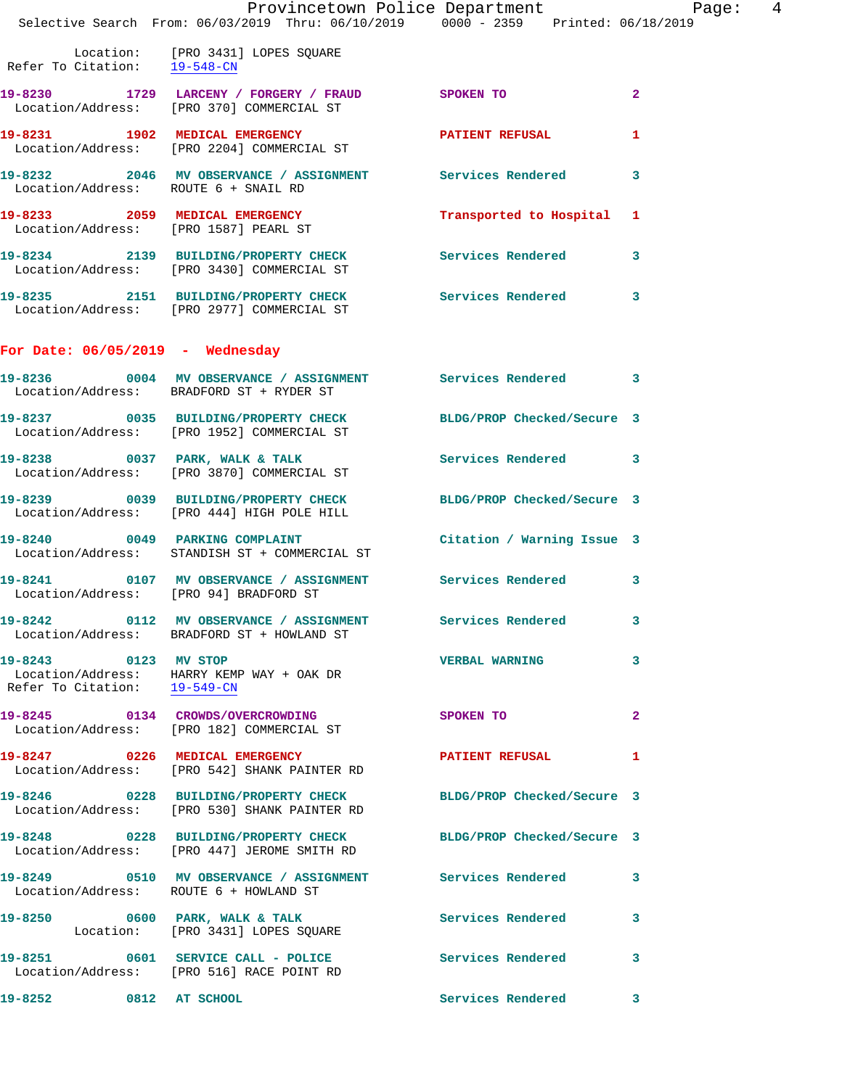| I.                                                   | Provincetown Police Department<br>Selective Search From: 06/03/2019 Thru: 06/10/2019 0000 - 2359 Printed: 06/18/2019 |                     |              |
|------------------------------------------------------|----------------------------------------------------------------------------------------------------------------------|---------------------|--------------|
|                                                      | Location: [PRO 3431] LOPES SQUARE<br>Refer To Citation: $\frac{19-548-CN}{\ }$                                       |                     |              |
|                                                      | 19-8230 1729 LARCENY / FORGERY / FRAUD SPOKEN TO<br>Location/Address: [PRO 370] COMMERCIAL ST                        |                     | $\mathbf{2}$ |
|                                                      | 19-8231 1902 MEDICAL EMERGENCY 1999 PATIENT REFUSAL<br>Location/Address: [PRO 2204] COMMERCIAL ST                    |                     | $\mathbf{1}$ |
| Location/Address: ROUTE 6 + SNAIL RD                 | 19-8232 2046 MV OBSERVANCE / ASSIGNMENT Services Rendered 3                                                          |                     |              |
|                                                      | 19-8233 2059 MEDICAL EMERGENCY Transported to Hospital 1<br>Location/Address: [PRO 1587] PEARL ST                    |                     |              |
|                                                      | 19-8234 2139 BUILDING/PROPERTY CHECK Services Rendered 3<br>Location/Address: [PRO 3430] COMMERCIAL ST               |                     |              |
|                                                      | 19-8235 2151 BUILDING/PROPERTY CHECK Services Rendered 3<br>Location/Address: [PRO 2977] COMMERCIAL ST               |                     |              |
| For Date: $06/05/2019$ - Wednesday                   |                                                                                                                      |                     |              |
|                                                      | 19-8236 0004 MV OBSERVANCE / ASSIGNMENT Services Rendered 3<br>Location/Address: BRADFORD ST + RYDER ST              |                     |              |
|                                                      | 19-8237 0035 BUILDING/PROPERTY CHECK BLDG/PROP Checked/Secure 3<br>Location/Address: [PRO 1952] COMMERCIAL ST        |                     |              |
|                                                      | 19-8238 0037 PARK, WALK & TALK 3 Services Rendered 3<br>Location/Address: [PRO 3870] COMMERCIAL ST                   |                     |              |
|                                                      | 19-8239 0039 BUILDING/PROPERTY CHECK BLDG/PROP Checked/Secure 3<br>Location/Address: [PRO 444] HIGH POLE HILL        |                     |              |
|                                                      | 19-8240 			 0049 PARKING COMPLAINT 			 Citation / Warning Issue 3<br>Location/Address: STANDISH ST + COMMERCIAL ST   |                     |              |
|                                                      | 19-8241 0107 MV OBSERVANCE / ASSIGNMENT Services Rendered 3<br>Location/Address: [PRO 94] BRADFORD ST                |                     |              |
|                                                      | 19-8242 0112 MV OBSERVANCE / ASSIGNMENT Services Rendered<br>Location/Address: BRADFORD ST + HOWLAND ST              |                     | 3            |
| 19-8243 0123 MV STOP<br>Refer To Citation: 19-549-CN | Location/Address: HARRY KEMP WAY + OAK DR                                                                            | VERBAL WARNING 3    |              |
|                                                      | 19-8245 0134 CROWDS/OVERCROWDING SPOKEN TO<br>Location/Address: [PRO 182] COMMERCIAL ST                              |                     | 2            |
|                                                      | 19-8247 0226 MEDICAL EMERGENCY PATIENT REFUSAL 1<br>Location/Address: [PRO 542] SHANK PAINTER RD                     |                     |              |
|                                                      | 19-8246 0228 BUILDING/PROPERTY CHECK BLDG/PROP Checked/Secure 3<br>Location/Address: [PRO 530] SHANK PAINTER RD      |                     |              |
|                                                      | 19-8248 0228 BUILDING/PROPERTY CHECK BLDG/PROP Checked/Secure 3<br>Location/Address: [PRO 447] JEROME SMITH RD       |                     |              |
|                                                      | 19-8249 0510 MV OBSERVANCE / ASSIGNMENT Services Rendered 3<br>Location/Address: ROUTE 6 + HOWLAND ST                |                     |              |
|                                                      | 19-8250 0600 PARK, WALK & TALK 3 Services Rendered<br>Location: [PRO 3431] LOPES SQUARE                              |                     | $\mathbf{3}$ |
|                                                      | 19-8251 0601 SERVICE CALL - POLICE<br>Location/Address: [PRO 516] RACE POINT RD                                      | Services Rendered 3 |              |
| 19-8252 0812 AT SCHOOL                               |                                                                                                                      | Services Rendered 3 |              |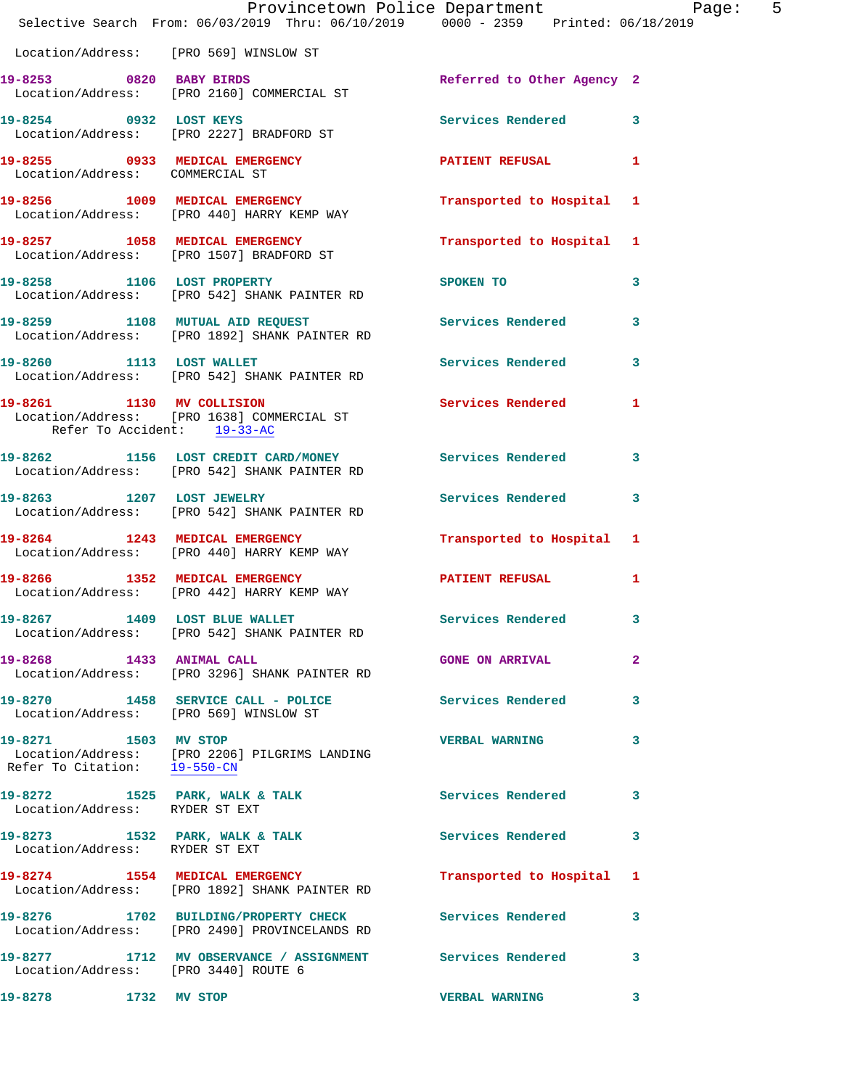|                                                      | Provincetown Police Department Page: 5<br>Selective Search From: 06/03/2019 Thru: 06/10/2019 0000 - 2359 Printed: 06/18/2019 |                                   |              |
|------------------------------------------------------|------------------------------------------------------------------------------------------------------------------------------|-----------------------------------|--------------|
|                                                      | Location/Address: [PRO 569] WINSLOW ST                                                                                       |                                   |              |
|                                                      | 19-8253 0820 BABY BIRDS<br>Location/Address: [PRO 2160] COMMERCIAL ST                                                        | Referred to Other Agency 2        |              |
|                                                      | 19-8254 0932 LOST KEYS<br>Location/Address: [PRO 2227] BRADFORD ST                                                           | Services Rendered 3               |              |
| Location/Address: COMMERCIAL ST                      | 19-8255 0933 MEDICAL EMERGENCY PATIENT REFUSAL 1                                                                             |                                   |              |
|                                                      | 19-8256 1009 MEDICAL EMERGENCY 1 Transported to Hospital 1<br>Location/Address: [PRO 440] HARRY KEMP WAY                     |                                   |              |
|                                                      | 19-8257 1058 MEDICAL EMERGENCY Transported to Hospital 1<br>Location/Address: [PRO 1507] BRADFORD ST                         |                                   |              |
|                                                      | 19-8258 1106 LOST PROPERTY<br>Location/Address: [PRO 542] SHANK PAINTER RD                                                   | SPOKEN TO AND TO A REAL PROPERTY. | $\mathbf{3}$ |
|                                                      | 19-8259 1108 MUTUAL AID REQUEST Services Rendered 3<br>Location/Address: [PRO 1892] SHANK PAINTER RD                         |                                   |              |
|                                                      | 19-8260 1113 LOST WALLET<br>Location/Address: [PRO 542] SHANK PAINTER RD                                                     | Services Rendered 3               |              |
| Refer To Accident: 19-33-AC                          | 19-8261 1130 MV COLLISION Services Rendered 1<br>Location/Address: [PRO 1638] COMMERCIAL ST                                  |                                   |              |
|                                                      | 19-8262 1156 LOST CREDIT CARD/MONEY Services Rendered 3<br>Location/Address: [PRO 542] SHANK PAINTER RD                      |                                   |              |
|                                                      | 19-8263 1207 LOST JEWELRY<br>Location/Address: [PRO 542] SHANK PAINTER RD                                                    | Services Rendered 3               |              |
|                                                      | 19-8264 1243 MEDICAL EMERGENCY Transported to Hospital 1<br>Location/Address: [PRO 440] HARRY KEMP WAY                       |                                   |              |
|                                                      | 19-8266 1352 MEDICAL EMERGENCY<br>Location/Address: [PRO 442] HARRY KEMP WAY                                                 | PATIENT REFUSAL 1                 |              |
|                                                      | 19-8267 1409 LOST BLUE WALLET<br>Location/Address: [PRO 542] SHANK PAINTER RD                                                | Services Rendered 3               |              |
| 19-8268 1433 ANIMAL CALL                             | Location/Address: [PRO 3296] SHANK PAINTER RD                                                                                | <b>GONE ON ARRIVAL</b>            | $\mathbf{2}$ |
|                                                      | 19-8270 1458 SERVICE CALL - POLICE<br>Location/Address: [PRO 569] WINSLOW ST                                                 | Services Rendered 3               |              |
| 19-8271 1503 MV STOP<br>Refer To Citation: 19-550-CN | Location/Address: [PRO 2206] PILGRIMS LANDING                                                                                | VERBAL WARNING 3                  |              |
| Location/Address: RYDER ST EXT                       | 19-8272 1525 PARK, WALK & TALK 1999 Services Rendered 3                                                                      |                                   |              |
| Location/Address: RYDER ST EXT                       | 19-8273 1532 PARK, WALK & TALK 1992 Services Rendered 3                                                                      |                                   |              |
|                                                      | 19-8274 1554 MEDICAL EMERGENCY<br>Location/Address: [PRO 1892] SHANK PAINTER RD                                              | Transported to Hospital 1         |              |
|                                                      | 19-8276 1702 BUILDING/PROPERTY CHECK Services Rendered 3<br>Location/Address: [PRO 2490] PROVINCELANDS RD                    |                                   |              |
| Location/Address: [PRO 3440] ROUTE 6                 | 19-8277 1712 MV OBSERVANCE / ASSIGNMENT Services Rendered 3                                                                  |                                   |              |
| 19-8278 1732 MV STOP                                 |                                                                                                                              | <b>VERBAL WARNING</b>             | $\mathbf{3}$ |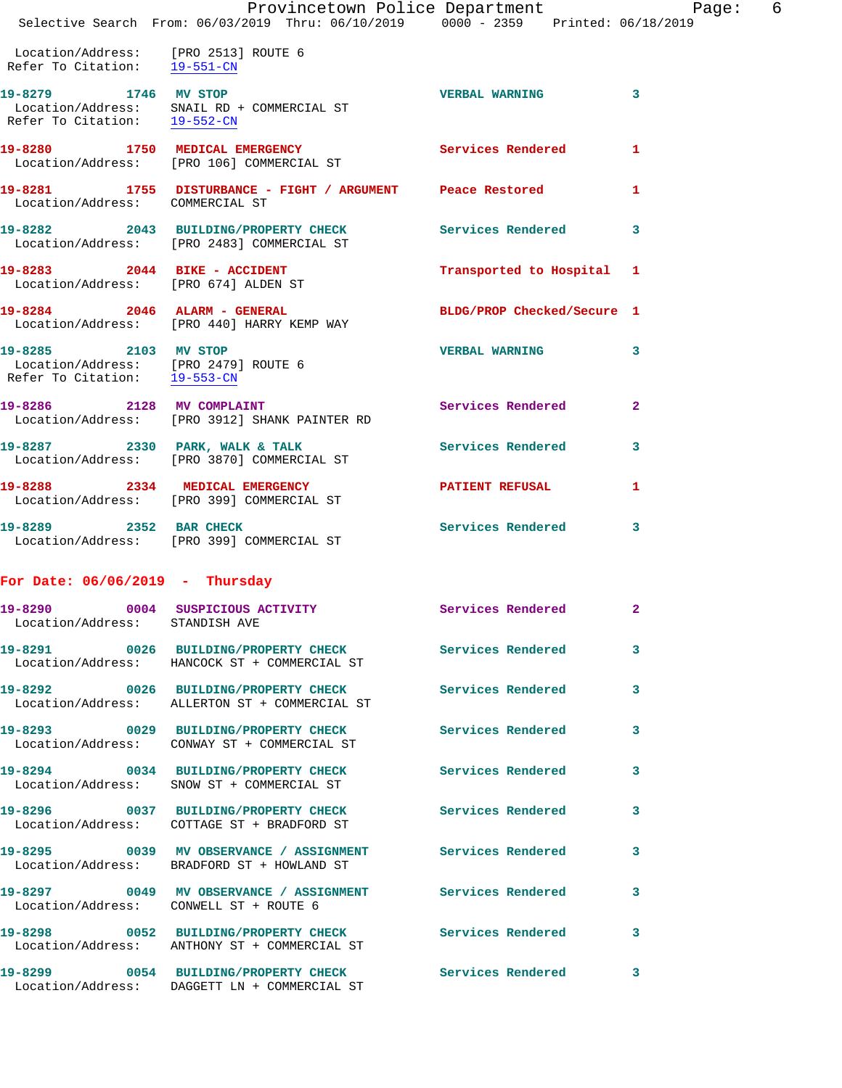|                                                                                                          | Provincetown Police Department Fage:<br>Selective Search From: 06/03/2019 Thru: 06/10/2019 0000 - 2359 Printed: 06/18/2019 |                            | $6\overline{6}$ |
|----------------------------------------------------------------------------------------------------------|----------------------------------------------------------------------------------------------------------------------------|----------------------------|-----------------|
| Location/Address: [PRO 2513] ROUTE 6<br>Refer To Citation: 19-551-CN                                     |                                                                                                                            |                            |                 |
| 19-8279 1746 MV STOP                                                                                     | Location/Address: SNAIL RD + COMMERCIAL ST<br>Refer To Citation: 19-552-CN                                                 | <b>VERBAL WARNING 3</b>    |                 |
|                                                                                                          | 19-8280 1750 MEDICAL EMERGENCY<br>  Location/Address: [PRO 106] COMMERCIAL ST                                              | Services Rendered 1        |                 |
| Location/Address: COMMERCIAL ST                                                                          | 19-8281 1755 DISTURBANCE - FIGHT / ARGUMENT Peace Restored                                                                 |                            | 1               |
|                                                                                                          | 19-8282 2043 BUILDING/PROPERTY CHECK Services Rendered<br>Location/Address: [PRO 2483] COMMERCIAL ST                       |                            | 3               |
| Location/Address: [PRO 674] ALDEN ST                                                                     | 19-8283 2044 BIKE - ACCIDENT                                                                                               | Transported to Hospital 1  |                 |
|                                                                                                          | 19-8284 2046 ALARM - GENERAL<br>Location/Address: [PRO 440] HARRY KEMP WAY                                                 | BLDG/PROP Checked/Secure 1 |                 |
| 19-8285 2103 MV STOP<br>Location/Address: [PRO 2479] ROUTE 6<br>Refer To Citation: $\frac{19-553-CN}{ }$ |                                                                                                                            | <b>VERBAL WARNING</b>      | 3               |
|                                                                                                          | 19-8286 2128 MV COMPLAINT<br>Location/Address: [PRO 3912] SHANK PAINTER RD                                                 | Services Rendered          | $\mathbf{2}$    |
|                                                                                                          | 19-8287 2330 PARK, WALK & TALK<br>Location/Address: [PRO 3870] COMMERCIAL ST                                               | Services Rendered          | 3               |
|                                                                                                          | 19-8288 2334 MEDICAL EMERGENCY<br>Location/Address: [PRO 399] COMMERCIAL ST                                                | <b>PATIENT REFUSAL</b>     | 1               |
|                                                                                                          | 19-8289 2352 BAR CHECK<br>Location/Address: [PRO 399] COMMERCIAL ST                                                        | Services Rendered 3        |                 |
| For Date: $06/06/2019$ - Thursday                                                                        |                                                                                                                            |                            |                 |
| 19-8290<br>Location/Address:                                                                             | 0004 SUSPICIOUS ACTIVITY Services Rendered 2<br>STANDISH AVE                                                               |                            |                 |
|                                                                                                          | 19-8291 0026 BUILDING/PROPERTY CHECK Services Rendered<br>Location/Address: HANCOCK ST + COMMERCIAL ST                     |                            | 3               |
|                                                                                                          | 19-8292 0026 BUILDING/PROPERTY CHECK Services Rendered<br>Location/Address: ALLERTON ST + COMMERCIAL ST                    |                            | 3               |
|                                                                                                          | 19-8293 0029 BUILDING/PROPERTY CHECK<br>Location/Address: CONWAY ST + COMMERCIAL ST                                        | Services Rendered          | 3               |
|                                                                                                          | 19-8294 0034 BUILDING/PROPERTY CHECK<br>Location/Address: SNOW ST + COMMERCIAL ST                                          | Services Rendered          | 3               |
|                                                                                                          | 19-8296 0037 BUILDING/PROPERTY CHECK<br>Location/Address: COTTAGE ST + BRADFORD ST                                         | Services Rendered          | 3               |
|                                                                                                          | 19-8295 6039 MV OBSERVANCE / ASSIGNMENT Services Rendered<br>Location/Address: BRADFORD ST + HOWLAND ST                    |                            | 3               |
| Location/Address: CONWELL ST + ROUTE 6                                                                   | 19-8297 0049 MV OBSERVANCE / ASSIGNMENT Services Rendered                                                                  |                            | 3               |
|                                                                                                          | 19-8298 		 0052 BUILDING/PROPERTY CHECK Services Rendered<br>Location/Address: ANTHONY ST + COMMERCIAL ST                  |                            | 3               |
|                                                                                                          | 19-8299 0054 BUILDING/PROPERTY CHECK                                                                                       | <b>Services Rendered</b>   | $\mathbf{3}$    |

Location/Address: DAGGETT LN + COMMERCIAL ST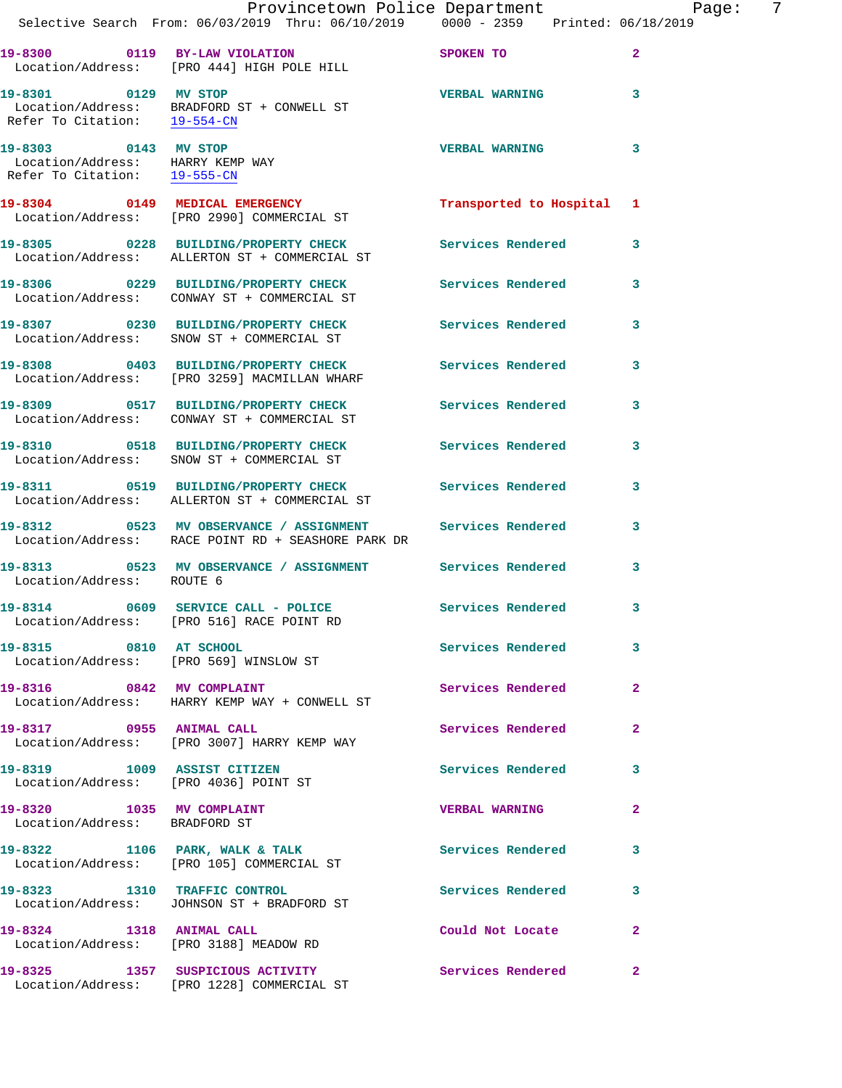|                                                                                          | Provincetown Police Department<br>Selective Search From: 06/03/2019 Thru: 06/10/2019   0000 - 2359   Printed: 06/18/2019 |                           | 7<br>Page:   |
|------------------------------------------------------------------------------------------|--------------------------------------------------------------------------------------------------------------------------|---------------------------|--------------|
|                                                                                          | 19-8300 0119 BY-LAW VIOLATION<br>Location/Address: [PRO 444] HIGH POLE HILL                                              | SPOKEN TO                 | $\mathbf{2}$ |
| 19-8301 0129 MV STOP<br>Refer To Citation: 19-554-CN                                     | Location/Address: BRADFORD ST + CONWELL ST                                                                               | <b>VERBAL WARNING</b>     | 3            |
| 19-8303 0143 MV STOP<br>Location/Address: HARRY KEMP WAY<br>Refer To Citation: 19-555-CN |                                                                                                                          | <b>VERBAL WARNING</b>     | 3            |
|                                                                                          | 19-8304 0149 MEDICAL EMERGENCY<br>Location/Address: [PRO 2990] COMMERCIAL ST                                             | Transported to Hospital 1 |              |
|                                                                                          | 19-8305 0228 BUILDING/PROPERTY CHECK<br>Location/Address: ALLERTON ST + COMMERCIAL ST                                    | <b>Services Rendered</b>  | 3            |
|                                                                                          | 19-8306 0229 BUILDING/PROPERTY CHECK<br>Location/Address: CONWAY ST + COMMERCIAL ST                                      | Services Rendered         | 3            |
|                                                                                          | 19-8307 0230 BUILDING/PROPERTY CHECK<br>Location/Address: SNOW ST + COMMERCIAL ST                                        | Services Rendered 3       |              |
|                                                                                          | 19-8308 0403 BUILDING/PROPERTY CHECK Services Rendered<br>Location/Address: [PRO 3259] MACMILLAN WHARF                   |                           | 3            |
|                                                                                          | 19-8309 0517 BUILDING/PROPERTY CHECK<br>Location/Address: CONWAY ST + COMMERCIAL ST                                      | Services Rendered 3       |              |
|                                                                                          | 19-8310 0518 BUILDING/PROPERTY CHECK Services Rendered<br>Location/Address: SNOW ST + COMMERCIAL ST                      |                           | 3            |
|                                                                                          | 19-8311 0519 BUILDING/PROPERTY CHECK Services Rendered<br>Location/Address: ALLERTON ST + COMMERCIAL ST                  |                           | 3            |
|                                                                                          | 19-8312 		 0523 MV OBSERVANCE / ASSIGNMENT Services Rendered<br>Location/Address: RACE POINT RD + SEASHORE PARK DR       |                           | 3            |
| Location/Address: ROUTE 6                                                                | -<br>19-8313                0523     MV OBSERVANCE / ASSIGNMENT                   Services Rendered                      |                           | 3            |
|                                                                                          | 19-8314 0609 SERVICE CALL - POLICE<br>Location/Address: [PRO 516] RACE POINT RD                                          | Services Rendered         | 3            |
| 19-8315 0810 AT SCHOOL                                                                   | Location/Address: [PRO 569] WINSLOW ST                                                                                   | <b>Services Rendered</b>  | 3            |
|                                                                                          | 19-8316 0842 MV COMPLAINT<br>Location/Address: HARRY KEMP WAY + CONWELL ST                                               | Services Rendered         | $\mathbf{2}$ |
| 19-8317 0955 ANIMAL CALL                                                                 | Location/Address: [PRO 3007] HARRY KEMP WAY                                                                              | Services Rendered         | $\mathbf{2}$ |
| Location/Address: [PRO 4036] POINT ST                                                    | 19-8319 1009 ASSIST CITIZEN                                                                                              | Services Rendered         | 3            |
| 19-8320 1035 MV COMPLAINT<br>Location/Address: BRADFORD ST                               |                                                                                                                          | <b>VERBAL WARNING</b>     | $\mathbf{2}$ |
|                                                                                          | 19-8322 1106 PARK, WALK & TALK 1997 Services Rendered<br>Location/Address: [PRO 105] COMMERCIAL ST                       |                           | 3            |
| 19-8323 1310 TRAFFIC CONTROL                                                             | Location/Address: JOHNSON ST + BRADFORD ST                                                                               | Services Rendered         | 3            |
|                                                                                          | 19-8324 1318 ANIMAL CALL<br>Location/Address: [PRO 3188] MEADOW RD                                                       | Could Not Locate          | 2            |
|                                                                                          | 19-8325 1357 SUSPICIOUS ACTIVITY<br>Location/Address: [PRO 1228] COMMERCIAL ST                                           | Services Rendered         | -2           |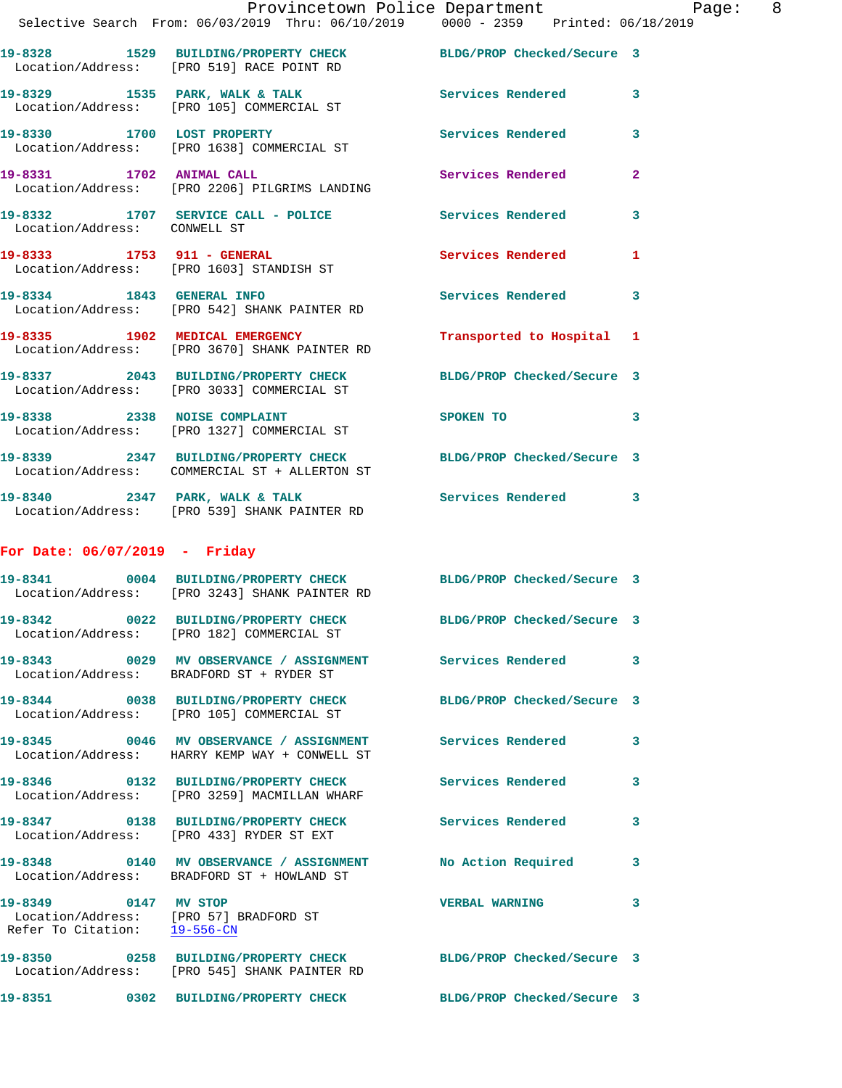Location/Address: [PRO 105] COMMERCIAL ST **19-8330 1700 LOST PROPERTY Services Rendered 3**  Location/Address: [PRO 1638] COMMERCIAL ST 19-8331 1702 ANIMAL CALL **19-8331** 1702 ANIMAL CALL Location/Address: [PRO 2206] PILGRIMS LANDING

**19-8332 1707 SERVICE CALL - POLICE Services Rendered 3** 

**19-8329 1535 PARK, WALK & TALK Services Rendered 3** 

 Location/Address: CONWELL ST **19-8333 1753 911 - GENERAL Services Rendered 1**  Location/Address: [PRO 1603] STANDISH ST **19-8334 1843 GENERAL INFO Services Rendered 3** 

 Location/Address: [PRO 542] SHANK PAINTER RD **19-8335 1902 MEDICAL EMERGENCY Transported to Hospital 1** 

 Location/Address: [PRO 3670] SHANK PAINTER RD **19-8337 2043 BUILDING/PROPERTY CHECK BLDG/PROP Checked/Secure 3**  Location/Address: [PRO 3033] COMMERCIAL ST

**19-8338 2338 NOISE COMPLAINT SPOKEN TO 3**  Location/Address: [PRO 1327] COMMERCIAL ST

**19-8339 2347 BUILDING/PROPERTY CHECK BLDG/PROP Checked/Secure 3**  Location/Address: COMMERCIAL ST + ALLERTON ST 19-8340 2347 PARK, WALK & TALK **Services Rendered** 3

Location/Address: [PRO 539] SHANK PAINTER RD

## **For Date: 06/07/2019 - Friday**

|                                                                                                | 19-8341 0004 BUILDING/PROPERTY CHECK<br>Location/Address: [PRO 3243] SHANK PAINTER RD                                      | BLDG/PROP Checked/Secure 3 |              |
|------------------------------------------------------------------------------------------------|----------------------------------------------------------------------------------------------------------------------------|----------------------------|--------------|
| Location/Address:                                                                              | 19-8342 0022 BUILDING/PROPERTY CHECK<br>[PRO 182] COMMERCIAL ST                                                            | BLDG/PROP Checked/Secure 3 |              |
|                                                                                                | 19-8343       0029   MV OBSERVANCE / ASSIGNMENT       Services Rendered      3<br>Location/Address: BRADFORD ST + RYDER ST |                            |              |
|                                                                                                | 19-8344 0038 BUILDING/PROPERTY CHECK<br>Location/Address: [PRO 105] COMMERCIAL ST                                          | BLDG/PROP Checked/Secure 3 |              |
|                                                                                                | 19-8345 0046 MV OBSERVANCE / ASSIGNMENT<br>Location/Address: HARRY KEMP WAY + CONWELL ST                                   | <b>Services Rendered</b>   | $\mathbf{3}$ |
|                                                                                                | 19-8346  0132 BUILDING/PROPERTY CHECK<br>Location/Address: [PRO 3259] MACMILLAN WHARF                                      | <b>Services Rendered</b>   | $\mathbf{3}$ |
|                                                                                                | 19-8347 0138 BUILDING/PROPERTY CHECK<br>Location/Address: [PRO 433] RYDER ST EXT                                           | <b>Services Rendered</b>   | $\mathbf{3}$ |
|                                                                                                | 19-8348   0140 MV OBSERVANCE / ASSIGNMENT   No Action Required<br>Location/Address: BRADFORD ST + HOWLAND ST               |                            | $\mathbf{3}$ |
| 19-8349 0147 MV STOP<br>Location/Address: [PRO 57] BRADFORD ST<br>Refer To Citation: 19-556-CN |                                                                                                                            | <b>VERBAL WARNING</b>      | $\mathbf{3}$ |
| Location/Address:                                                                              | 19-8350 0258 BUILDING/PROPERTY CHECK<br>[PRO 545] SHANK PAINTER RD                                                         | BLDG/PROP Checked/Secure 3 |              |
|                                                                                                | 19-8351 0302 BUILDING/PROPERTY CHECK                                                                                       | BLDG/PROP Checked/Secure 3 |              |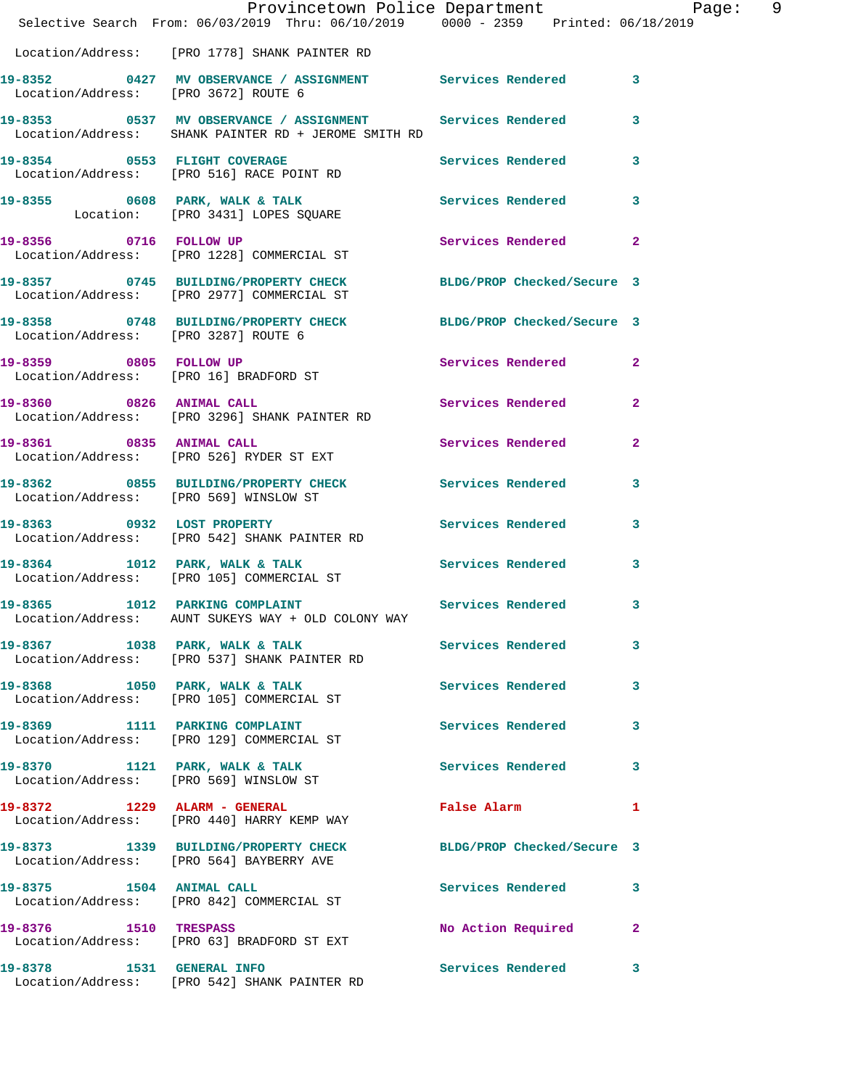|                       | Provincetown Police Department Page: 9<br>Selective Search From: $06/03/2019$ Thru: $06/10/2019$ 0000 - 2359 Printed: 06/18/2019 |                               |              |  |
|-----------------------|----------------------------------------------------------------------------------------------------------------------------------|-------------------------------|--------------|--|
|                       | Location/Address: [PRO 1778] SHANK PAINTER RD                                                                                    |                               |              |  |
|                       | 19-8352 0427 MV OBSERVANCE / ASSIGNMENT Services Rendered 3<br>Location/Address: [PRO 3672] ROUTE 6                              |                               |              |  |
|                       | 19-8353 0537 MV OBSERVANCE / ASSIGNMENT Services Rendered 3<br>Location/Address: SHANK PAINTER RD + JEROME SMITH RD              |                               |              |  |
|                       | 19-8354 0553 FLIGHT COVERAGE<br>Location/Address: [PRO 516] RACE POINT RD                                                        | Services Rendered 3           |              |  |
|                       | 19-8355 0608 PARK, WALK & TALK Services Rendered 3<br>Location: [PRO 3431] LOPES SQUARE                                          |                               |              |  |
|                       |                                                                                                                                  | Services Rendered 2           |              |  |
|                       | 19-8357 0745 BUILDING/PROPERTY CHECK BLDG/PROP Checked/Secure 3<br>Location/Address: [PRO 2977] COMMERCIAL ST                    |                               |              |  |
|                       | 19-8358 0748 BUILDING/PROPERTY CHECK BLDG/PROP Checked/Secure 3<br>Location/Address: [PRO 3287] ROUTE 6                          |                               |              |  |
|                       | 19-8359 0805 FOLLOW UP<br>Location/Address: [PRO 16] BRADFORD ST                                                                 | Services Rendered 2           |              |  |
|                       | 19-8360 0826 ANIMAL CALL<br>Location/Address: [PRO 3296] SHANK PAINTER RD                                                        | Services Rendered 2           |              |  |
|                       | 19-8361 0835 ANIMAL CALL<br>Location/Address: [PRO 526] RYDER ST EXT                                                             | Services Rendered 2           |              |  |
|                       | 19-8362 0855 BUILDING/PROPERTY CHECK Services Rendered 3<br>Location/Address: [PRO 569] WINSLOW ST                               |                               |              |  |
|                       | 19-8363 0932 LOST PROPERTY<br>Location/Address: [PRO 542] SHANK PAINTER RD                                                       | Services Rendered 3           |              |  |
|                       | 19-8364 1012 PARK, WALK & TALK 1998 Services Rendered 3<br>Location/Address: [PRO 105] COMMERCIAL ST                             |                               |              |  |
|                       | 19-8365 1012 PARKING COMPLAINT<br>Location/Address: AUNT SUKEYS WAY + OLD COLONY WAY                                             | Services Rendered 3           |              |  |
|                       | 19-8367 1038 PARK, WALK & TALK 1999 Services Rendered<br>Location/Address: [PRO 537] SHANK PAINTER RD                            |                               | 3            |  |
|                       | 19-8368 1050 PARK, WALK & TALK<br>Location/Address: [PRO 105] COMMERCIAL ST                                                      | Services Rendered             | $\mathbf{3}$ |  |
|                       | 19-8369 1111 PARKING COMPLAINT<br>Location/Address: [PRO 129] COMMERCIAL ST                                                      | Services Rendered             | $\mathbf{3}$ |  |
|                       | 19-8370 1121 PARK, WALK & TALK<br>Location/Address: [PRO 569] WINSLOW ST                                                         | Services Rendered 3           |              |  |
|                       | 19-8372 1229 ALARM - GENERAL<br>Location/Address: [PRO 440] HARRY KEMP WAY                                                       | False Alarm <b>Execute 19</b> | $\mathbf{1}$ |  |
|                       | 19-8373 1339 BUILDING/PROPERTY CHECK BLDG/PROP Checked/Secure 3<br>Location/Address: [PRO 564] BAYBERRY AVE                      |                               |              |  |
|                       | 19-8375 1504 ANIMAL CALL<br>Location/Address: [PRO 842] COMMERCIAL ST                                                            | Services Rendered 3           |              |  |
| 19-8376 1510 TRESPASS | Location/Address: [PRO 63] BRADFORD ST EXT                                                                                       | No Action Required 2          |              |  |
|                       | 19-8378 1531 GENERAL INFO<br>Location/Address: [PRO 542] SHANK PAINTER RD                                                        | Services Rendered 3           |              |  |
|                       |                                                                                                                                  |                               |              |  |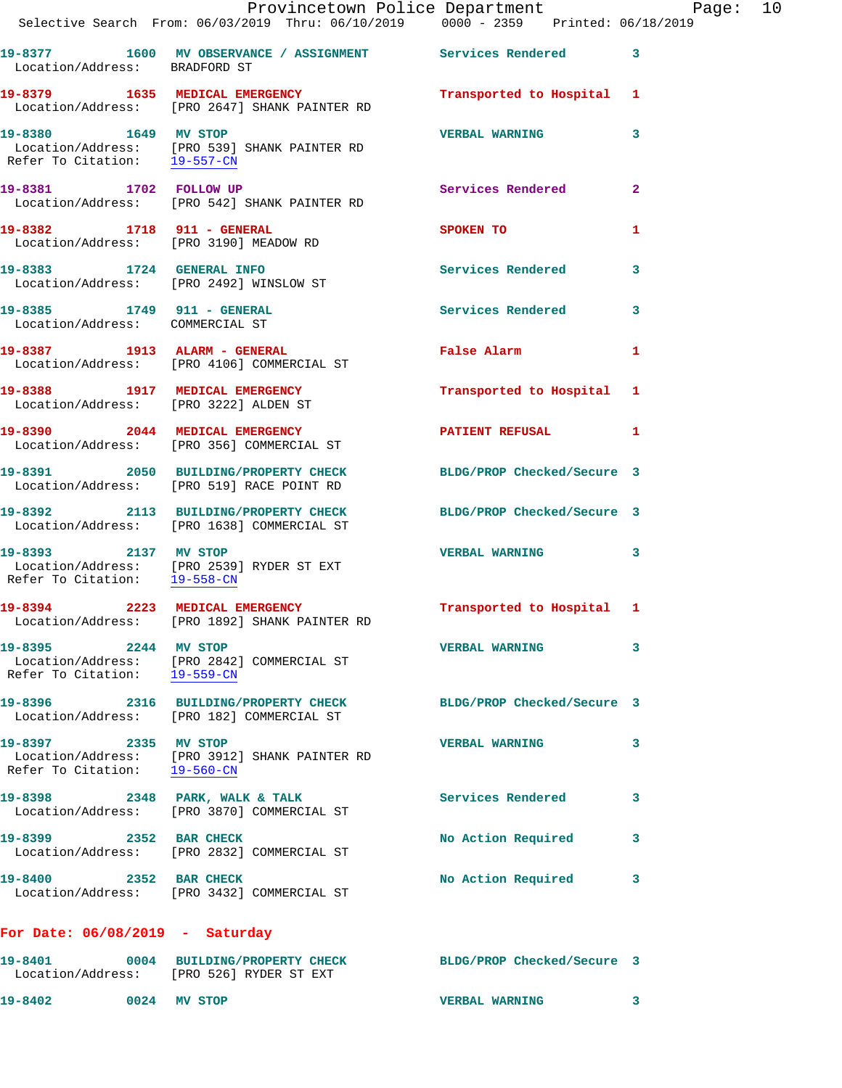|                                                      | Provincetown Police Department Page: 10<br>Selective Search From: 06/03/2019 Thru: 06/10/2019 0000 - 2359 Printed: 06/18/2019 |                            |              |
|------------------------------------------------------|-------------------------------------------------------------------------------------------------------------------------------|----------------------------|--------------|
| Location/Address: BRADFORD ST                        | 19-8377 1600 MV OBSERVANCE / ASSIGNMENT Services Rendered 3                                                                   |                            |              |
|                                                      | 19-8379 1635 MEDICAL EMERGENCY<br>Location/Address: [PRO 2647] SHANK PAINTER RD                                               | Transported to Hospital 1  |              |
| Refer To Citation: 19-557-CN                         | 19-8380 1649 MV STOP<br>Location/Address: [PRO 539] SHANK PAINTER RD                                                          | <b>VERBAL WARNING</b>      | 3            |
|                                                      | 19-8381 1702 FOLLOW UP<br>Location/Address: [PRO 542] SHANK PAINTER RD                                                        | Services Rendered          | $\mathbf{2}$ |
| 19-8382 1718 911 - GENERAL                           | Location/Address: [PRO 3190] MEADOW RD                                                                                        | SPOKEN TO                  | 1            |
| Location/Address: [PRO 2492] WINSLOW ST              | 19-8383 1724 GENERAL INFO                                                                                                     | Services Rendered          | 3            |
| Location/Address: COMMERCIAL ST                      | 19-8385 1749 911 - GENERAL                                                                                                    | Services Rendered 3        |              |
|                                                      | 19-8387 1913 ALARM - GENERAL<br>Location/Address: [PRO 4106] COMMERCIAL ST                                                    | False Alarm                | 1            |
|                                                      | 19-8388 1917 MEDICAL EMERGENCY<br>Location/Address: [PRO 3222] ALDEN ST                                                       | Transported to Hospital 1  |              |
|                                                      | 19-8390 2044 MEDICAL EMERGENCY<br>Location/Address: [PRO 356] COMMERCIAL ST                                                   | PATIENT REFUSAL            | 1            |
|                                                      | 19-8391 2050 BUILDING/PROPERTY CHECK BLDG/PROP Checked/Secure 3<br>Location/Address: [PRO 519] RACE POINT RD                  |                            |              |
|                                                      | 19-8392 2113 BUILDING/PROPERTY CHECK BLDG/PROP Checked/Secure 3<br>Location/Address: [PRO 1638] COMMERCIAL ST                 |                            |              |
| 19-8393 2137 MV STOP<br>Refer To Citation: 19-558-CN | Location/Address: [PRO 2539] RYDER ST EXT                                                                                     | <b>VERBAL WARNING</b>      | 3            |
|                                                      | 19-8394 2223 MEDICAL EMERGENCY Transported to Hospital 1<br>Location/Address: [PRO 1892] SHANK PAINTER RD                     |                            |              |
| 19-8395 2244 MV STOP<br>Refer To Citation: 19-559-CN | Location/Address: [PRO 2842] COMMERCIAL ST                                                                                    | <b>VERBAL WARNING</b>      | 3            |
|                                                      | 19-8396 2316 BUILDING/PROPERTY CHECK<br>Location/Address: [PRO 182] COMMERCIAL ST                                             | BLDG/PROP Checked/Secure 3 |              |
| 19-8397 2335 MV STOP<br>Refer To Citation: 19-560-CN | Location/Address: [PRO 3912] SHANK PAINTER RD                                                                                 | <b>VERBAL WARNING</b>      | 3            |
|                                                      | $19-8398$ 2348 PARK, WALK & TALK<br>Location/Address: [PRO 3870] COMMERCIAL ST                                                | Services Rendered          | 3            |
| 19-8399 2352 BAR CHECK                               | Location/Address: [PRO 2832] COMMERCIAL ST                                                                                    | No Action Required         | 3            |
| 19-8400 2352 BAR CHECK                               | Location/Address: [PRO 3432] COMMERCIAL ST                                                                                    | No Action Required         | 3            |
| For Date: $06/08/2019$ - Saturday                    |                                                                                                                               |                            |              |
|                                                      |                                                                                                                               |                            |              |

**19-8401 0004 BUILDING/PROPERTY CHECK BLDG/PROP Checked/Secure 3**  Location/Address: [PRO 526] RYDER ST EXT **19-8402 0024 MV STOP VERBAL WARNING 3**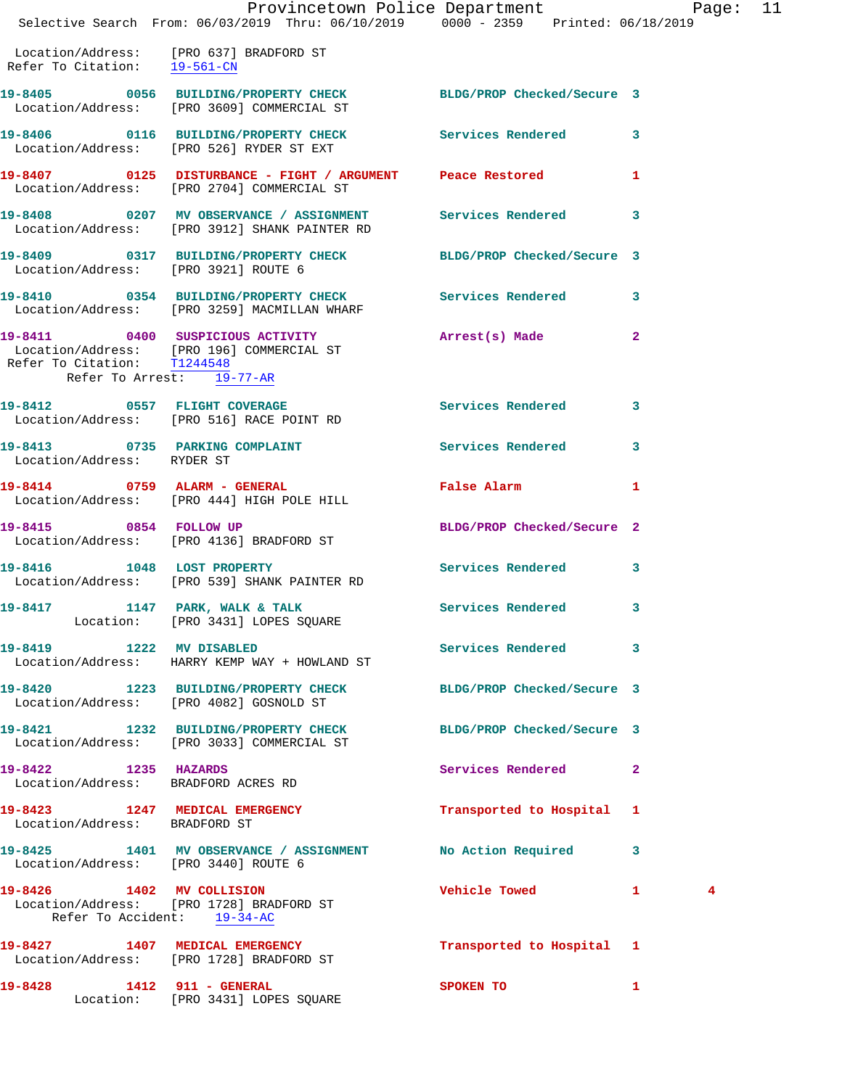|                                                             | Provincetown Police Department<br>Selective Search From: 06/03/2019 Thru: 06/10/2019 0000 - 2359 Printed: 06/18/2019 |                                | Page:             | 11 |
|-------------------------------------------------------------|----------------------------------------------------------------------------------------------------------------------|--------------------------------|-------------------|----|
| Refer To Citation: 19-561-CN                                | Location/Address: [PRO 637] BRADFORD ST                                                                              |                                |                   |    |
|                                                             | 19-8405 0056 BUILDING/PROPERTY CHECK BLDG/PROP Checked/Secure 3<br>Location/Address: [PRO 3609] COMMERCIAL ST        |                                |                   |    |
|                                                             | 19-8406  0116 BUILDING/PROPERTY CHECK Services Rendered<br>Location/Address: [PRO 526] RYDER ST EXT                  |                                | 3                 |    |
|                                                             | 19-8407 0125 DISTURBANCE - FIGHT / ARGUMENT Peace Restored<br>Location/Address: [PRO 2704] COMMERCIAL ST             |                                | 1                 |    |
|                                                             | 19-8408 0207 MV OBSERVANCE / ASSIGNMENT<br>Location/Address: [PRO 3912] SHANK PAINTER RD                             | Services Rendered              | 3                 |    |
| Location/Address: [PRO 3921] ROUTE 6                        | 19-8409 0317 BUILDING/PROPERTY CHECK                                                                                 | BLDG/PROP Checked/Secure 3     |                   |    |
|                                                             | 19-8410 0354 BUILDING/PROPERTY CHECK<br>Location/Address: [PRO 3259] MACMILLAN WHARF                                 | <b>Services Rendered</b>       | 3                 |    |
| Refer To Citation: T1244548                                 | 19-8411 0400 SUSPICIOUS ACTIVITY<br>Location/Address: [PRO 196] COMMERCIAL ST<br>Refer To Arrest: 19-77-AR           | Arrest(s) Made                 | $\overline{a}$    |    |
|                                                             | 19-8412 0557 FLIGHT COVERAGE<br>Location/Address: [PRO 516] RACE POINT RD                                            | Services Rendered              | 3                 |    |
| Location/Address: RYDER ST                                  | 19-8413 0735 PARKING COMPLAINT                                                                                       | <b>Services Rendered</b>       | 3                 |    |
| 19-8414 0759 ALARM - GENERAL                                | Location/Address: [PRO 444] HIGH POLE HILL                                                                           | False Alarm                    | 1                 |    |
|                                                             | 19-8415 0854 FOLLOW UP<br>Location/Address: [PRO 4136] BRADFORD ST                                                   | BLDG/PROP Checked/Secure 2     |                   |    |
| 19-8416 1048 LOST PROPERTY                                  | Location/Address: [PRO 539] SHANK PAINTER RD                                                                         | Services Rendered              | 3                 |    |
| 19-8417 1147 PARK, WALK & TALK                              | Location: [PRO 3431] LOPES SQUARE                                                                                    | Services Rendered              | $\mathbf{3}$      |    |
| 19-8419 1222 MV DISABLED                                    | Location/Address: HARRY KEMP WAY + HOWLAND ST                                                                        | Services Rendered 3            |                   |    |
|                                                             | 19-8420 1223 BUILDING/PROPERTY CHECK<br>Location/Address: [PRO 4082] GOSNOLD ST                                      | BLDG/PROP Checked/Secure 3     |                   |    |
|                                                             | 19-8421 1232 BUILDING/PROPERTY CHECK<br>Location/Address: [PRO 3033] COMMERCIAL ST                                   | BLDG/PROP Checked/Secure 3     |                   |    |
| 19-8422 1235 HAZARDS<br>Location/Address: BRADFORD ACRES RD |                                                                                                                      | Services Rendered              | $\mathbf{2}$      |    |
| Location/Address: BRADFORD ST                               | 19-8423 1247 MEDICAL EMERGENCY                                                                                       | Transported to Hospital 1      |                   |    |
| Location/Address: [PRO 3440] ROUTE 6                        | 19-8425 1401 MV OBSERVANCE / ASSIGNMENT                                                                              | No Action Required             | 3                 |    |
| 19-8426 1402 MV COLLISION                                   | Location/Address: [PRO 1728] BRADFORD ST<br>Refer To Accident: 19-34-AC                                              | Vehicle Towed <b>Seat 1996</b> | $\mathbf{1}$<br>4 |    |
|                                                             | 19-8427 1407 MEDICAL EMERGENCY<br>Location/Address: [PRO 1728] BRADFORD ST                                           | Transported to Hospital 1      |                   |    |
| 19-8428 1412 911 - GENERAL                                  |                                                                                                                      | SPOKEN TO                      | $\mathbf{1}$      |    |

Location: [PRO 3431] LOPES SQUARE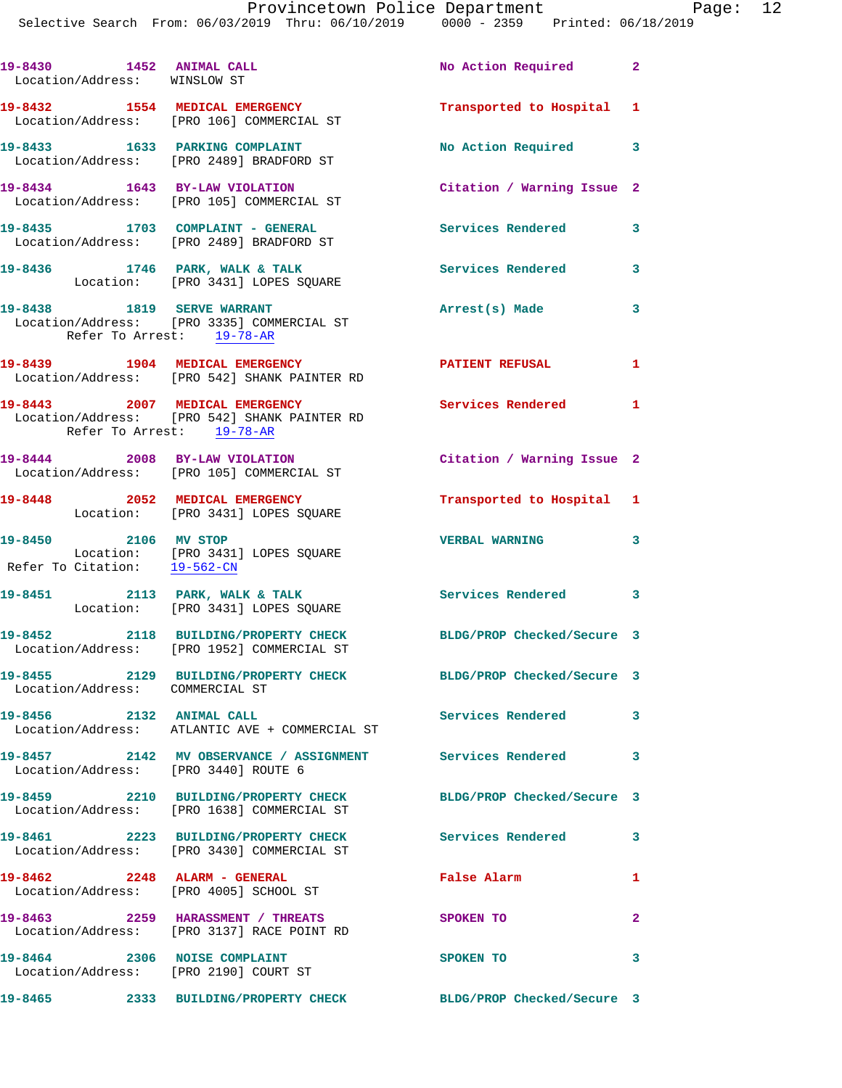| 19-8430 1452 ANIMAL CALL<br>Location/Address: WINSLOW ST |                                                                                                             | No Action Required 2       |              |
|----------------------------------------------------------|-------------------------------------------------------------------------------------------------------------|----------------------------|--------------|
|                                                          | 19-8432 1554 MEDICAL EMERGENCY<br>Location/Address: [PRO 106] COMMERCIAL ST                                 | Transported to Hospital 1  |              |
|                                                          | 19-8433 1633 PARKING COMPLAINT<br>Location/Address: [PRO 2489] BRADFORD ST                                  | No Action Required 3       |              |
|                                                          | 19-8434 1643 BY-LAW VIOLATION<br>Location/Address: [PRO 105] COMMERCIAL ST                                  | Citation / Warning Issue 2 |              |
|                                                          | 19-8435 1703 COMPLAINT - GENERAL<br>Location/Address: [PRO 2489] BRADFORD ST                                | Services Rendered          | 3            |
|                                                          | 19-8436 1746 PARK, WALK & TALK<br>Location: [PRO 3431] LOPES SQUARE                                         | Services Rendered          | 3            |
|                                                          | 19-8438 1819 SERVE WARRANT<br>Location/Address: [PRO 3335] COMMERCIAL ST<br>Refer To Arrest: 19-78-AR       | Arrest(s) Made             | 3            |
|                                                          | 19-8439 1904 MEDICAL EMERGENCY<br>Location/Address: [PRO 542] SHANK PAINTER RD                              | PATIENT REFUSAL            | $\mathbf{1}$ |
|                                                          | 19-8443 2007 MEDICAL EMERGENCY<br>Location/Address: [PRO 542] SHANK PAINTER RD<br>Refer To Arrest: 19-78-AR | Services Rendered 1        |              |
|                                                          | 19-8444 2008 BY-LAW VIOLATION<br>Location/Address: [PRO 105] COMMERCIAL ST                                  | Citation / Warning Issue 2 |              |
| 19-8448 2052 MEDICAL EMERGENCY                           | Location: [PRO 3431] LOPES SQUARE                                                                           | Transported to Hospital 1  |              |
| 19-8450 2106 MV STOP<br>Refer To Citation: 19-562-CN     | Location: [PRO 3431] LOPES SQUARE                                                                           | <b>VERBAL WARNING</b>      | 3            |
|                                                          | 19-8451 2113 PARK, WALK & TALK<br>Location: [PRO 3431] LOPES SQUARE                                         | Services Rendered 3        |              |
|                                                          | 19-8452 2118 BUILDING/PROPERTY CHECK<br>Location/Address: [PRO 1952] COMMERCIAL ST                          | BLDG/PROP Checked/Secure 3 |              |
| Location/Address: COMMERCIAL ST                          | 19-8455 2129 BUILDING/PROPERTY CHECK BLDG/PROP Checked/Secure 3                                             |                            |              |
| 19-8456 2132 ANIMAL CALL                                 | Location/Address: ATLANTIC AVE + COMMERCIAL ST                                                              | <b>Services Rendered</b>   | 3            |
| Location/Address: [PRO 3440] ROUTE 6                     | 19-8457 2142 MV OBSERVANCE / ASSIGNMENT Services Rendered                                                   |                            | 3            |
|                                                          | 19-8459 2210 BUILDING/PROPERTY CHECK<br>Location/Address: [PRO 1638] COMMERCIAL ST                          | BLDG/PROP Checked/Secure 3 |              |
|                                                          | 19-8461 2223 BUILDING/PROPERTY CHECK Services Rendered<br>Location/Address: [PRO 3430] COMMERCIAL ST        |                            | 3            |
| 19-8462 2248 ALARM - GENERAL                             | Location/Address: [PRO 4005] SCHOOL ST                                                                      | False Alarm                | 1            |
|                                                          | 19-8463 2259 HARASSMENT / THREATS<br>Location/Address: [PRO 3137] RACE POINT RD                             | SPOKEN TO                  | $\mathbf{2}$ |
| 19-8464 2306 NOISE COMPLAINT                             | Location/Address: [PRO 2190] COURT ST                                                                       | SPOKEN TO                  | 3            |
|                                                          | 19-8465 2333 BUILDING/PROPERTY CHECK                                                                        | BLDG/PROP Checked/Secure 3 |              |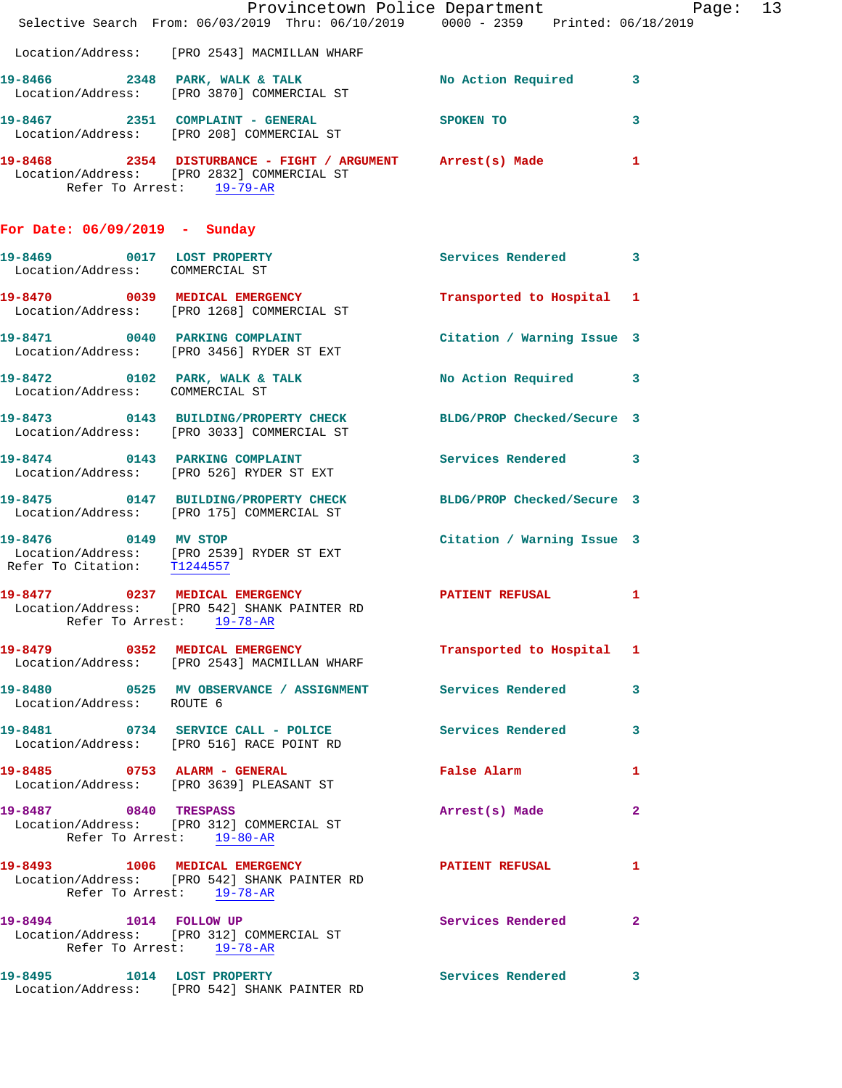|                                                               | Provincetown Police Department Page: 13<br>Selective Search From: 06/03/2019 Thru: 06/10/2019   0000 - 2359   Printed: 06/18/2019     |                               |              |
|---------------------------------------------------------------|---------------------------------------------------------------------------------------------------------------------------------------|-------------------------------|--------------|
|                                                               | Location/Address: [PRO 2543] MACMILLAN WHARF                                                                                          |                               |              |
|                                                               | 19-8466 2348 PARK, WALK & TALK<br>Location/Address: [PRO 3870] COMMERCIAL ST                                                          | No Action Required 3          |              |
|                                                               | 19-8467  2351  COMPLAINT - GENERAL  SPOKEN TO<br>Location/Address: [PRO 208] COMMERCIAL ST                                            |                               | 3            |
|                                                               | 19-8468 2354 DISTURBANCE - FIGHT / ARGUMENT Arrest(s) Made<br>Location/Address: [PRO 2832] COMMERCIAL ST<br>Refer To Arrest: 19-79-AR |                               | 1            |
| For Date: 06/09/2019 - Sunday                                 |                                                                                                                                       |                               |              |
| 19-8469 0017 LOST PROPERTY<br>Location/Address: COMMERCIAL ST |                                                                                                                                       | Services Rendered 3           |              |
|                                                               | 19-8470 0039 MEDICAL EMERGENCY<br>Location/Address: [PRO 1268] COMMERCIAL ST                                                          | Transported to Hospital 1     |              |
|                                                               | 19-8471 0040 PARKING COMPLAINT Contract Citation / Warning Issue 3<br>Location/Address: [PRO 3456] RYDER ST EXT                       |                               |              |
| Location/Address: COMMERCIAL ST                               | 19-8472 0102 PARK, WALK & TALK NO Action Required 3                                                                                   |                               |              |
|                                                               | 19-8473 0143 BUILDING/PROPERTY CHECK BLDG/PROP Checked/Secure 3<br>Location/Address: [PRO 3033] COMMERCIAL ST                         |                               |              |
|                                                               | 19-8474 0143 PARKING COMPLAINT Services Rendered 3<br>Location/Address: [PRO 526] RYDER ST EXT                                        |                               |              |
|                                                               | 19-8475 0147 BUILDING/PROPERTY CHECK BLDG/PROP Checked/Secure 3<br>Location/Address: [PRO 175] COMMERCIAL ST                          |                               |              |
| 19-8476 0149 MV STOP                                          | Location/Address: [PRO 2539] RYDER ST EXT<br>Refer To Citation: T1244557                                                              | Citation / Warning Issue 3    |              |
|                                                               | Refer To Arrest: 19-78-AR                                                                                                             |                               | 1            |
|                                                               | 19-8479 0352 MEDICAL EMERGENCY<br>Location/Address: [PRO 2543] MACMILLAN WHARF                                                        | Transported to Hospital 1     |              |
| Location/Address: ROUTE 6                                     | 19-8480 0525 MV OBSERVANCE / ASSIGNMENT Services Rendered                                                                             |                               | 3            |
|                                                               | 19-8481 0734 SERVICE CALL - POLICE Services Rendered<br>Location/Address: [PRO 516] RACE POINT RD                                     |                               | $\mathbf{3}$ |
|                                                               | 19-8485 0753 ALARM - GENERAL<br>Location/Address: [PRO 3639] PLEASANT ST                                                              | False Alarm <b>Example 20</b> | 1            |
| 19-8487 0840 TRESPASS                                         | Location/Address: [PRO 312] COMMERCIAL ST<br>Refer To Arrest: 19-80-AR                                                                | Arrest(s) Made                | $\mathbf{2}$ |
|                                                               | 19-8493 1006 MEDICAL EMERGENCY<br>Location/Address: [PRO 542] SHANK PAINTER RD<br>Refer To Arrest: 19-78-AR                           | <b>PATIENT REFUSAL</b>        | 1            |
|                                                               | 19-8494 1014 FOLLOW UP<br>Location/Address: [PRO 312] COMMERCIAL ST<br>Refer To Arrest: 19-78-AR                                      | <b>Services Rendered</b>      | $\mathbf{2}$ |
| 19-8495 1014 LOST PROPERTY                                    | Location/Address: [PRO 542] SHANK PAINTER RD                                                                                          | Services Rendered 3           |              |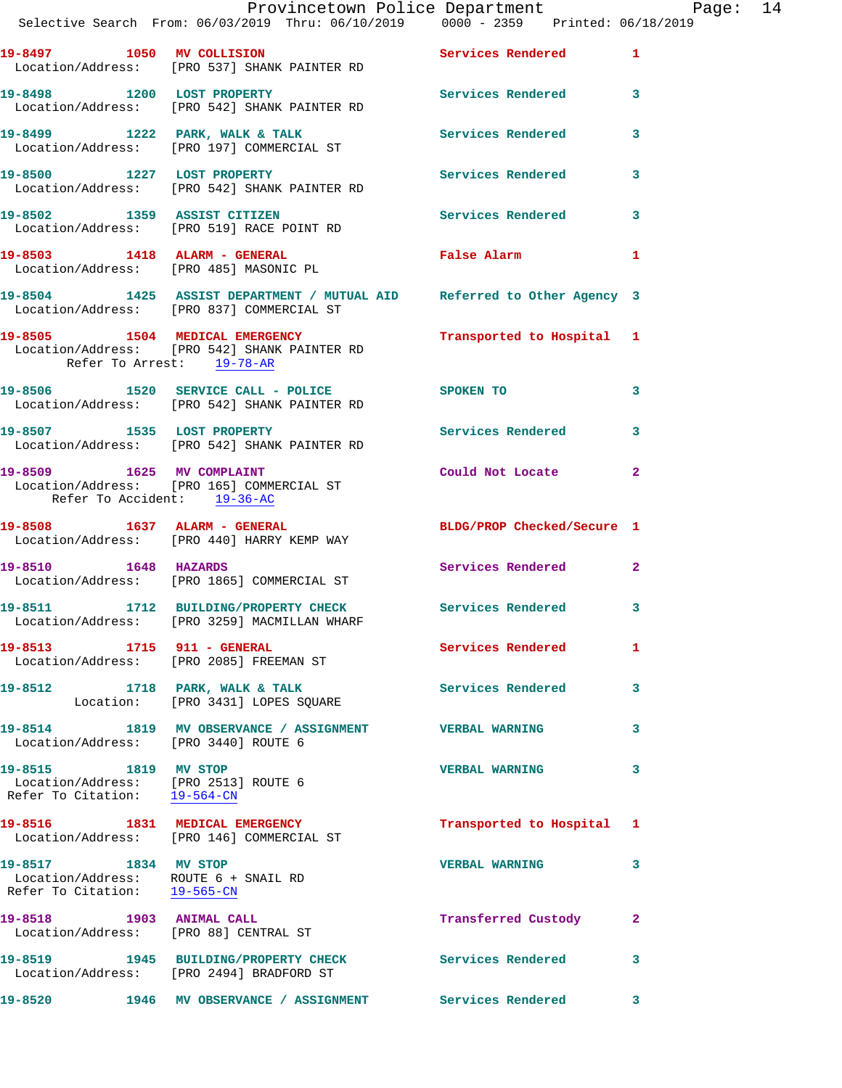| Selective Search From: 06/03/2019 Thru: 06/10/2019   0000 - 2359   Printed: 06/18/2019                              |                                 |  |  |                              |  | Provincetown Police Department Page: 14 |  |
|---------------------------------------------------------------------------------------------------------------------|---------------------------------|--|--|------------------------------|--|-----------------------------------------|--|
| 19-8497 1050 MV COLLISION<br>Location/Address: [PRO 537] SHANK PAINTER RD                                           |                                 |  |  | Services Rendered 1          |  |                                         |  |
| 19-8498 1200 LOST PROPERTY<br>Location/Address: [PRO 542] SHANK PAINTER RD                                          |                                 |  |  | Services Rendered 3          |  |                                         |  |
| 19-8499 1222 PARK, WALK & TALK<br>Location/Address: [PRO 197] COMMERCIAL ST                                         |                                 |  |  | Services Rendered            |  | 3                                       |  |
| 19-8500 1227 LOST PROPERTY<br>Location/Address: [PRO 542] SHANK PAINTER RD                                          |                                 |  |  | Services Rendered            |  | 3                                       |  |
| 19-8502 1359 ASSIST CITIZEN<br>Location/Address: [PRO 519] RACE POINT RD                                            |                                 |  |  | Services Rendered 3          |  |                                         |  |
| 19-8503 1418 ALARM - GENERAL<br>Location/Address: [PRO 485] MASONIC PL                                              |                                 |  |  | False Alarm <b>Example 2</b> |  | 1                                       |  |
| 19-8504 1425 ASSIST DEPARTMENT / MUTUAL AID Referred to Other Agency 3<br>Location/Address: [PRO 837] COMMERCIAL ST |                                 |  |  |                              |  |                                         |  |
| 19-8505 1504 MEDICAL EMERGENCY<br>Location/Address: [PRO 542] SHANK PAINTER RD<br>Refer To Arrest: 19-78-AR         |                                 |  |  | Transported to Hospital 1    |  |                                         |  |
| 19-8506 1520 SERVICE CALL - POLICE SPOKEN TO<br>Location/Address: [PRO 542] SHANK PAINTER RD                        |                                 |  |  |                              |  | $\mathbf{3}$                            |  |
| 19-8507 1535 LOST PROPERTY<br>Location/Address: [PRO 542] SHANK PAINTER RD                                          |                                 |  |  | Services Rendered            |  | 3                                       |  |
| 19-8509 1625 MV COMPLAINT<br>Location/Address: [PRO 165] COMMERCIAL ST<br>Refer To Accident: 19-36-AC               |                                 |  |  | Could Not Locate             |  | $\mathbf{2}$                            |  |
| 19-8508 1637 ALARM - GENERAL<br>Location/Address: [PRO 440] HARRY KEMP WAY                                          |                                 |  |  | BLDG/PROP Checked/Secure 1   |  |                                         |  |
| 19-8510 1648 HAZARDS<br>Location/Address: [PRO 1865] COMMERCIAL ST                                                  |                                 |  |  | <b>Services Rendered</b>     |  | $\mathbf{2}$                            |  |
| 19-8511 1712 BUILDING/PROPERTY CHECK Services Rendered 3<br>Location/Address: [PRO 3259] MACMILLAN WHARF            |                                 |  |  |                              |  |                                         |  |
| 19-8513 1715 911 - GENERAL<br>Location/Address: [PRO 2085] FREEMAN ST                                               |                                 |  |  | Services Rendered 1          |  |                                         |  |
| 19-8512 1718 PARK, WALK & TALK<br>Location: [PRO 3431] LOPES SQUARE                                                 |                                 |  |  | Services Rendered            |  | 3                                       |  |
| 19-8514 1819 MV OBSERVANCE / ASSIGNMENT VERBAL WARNING<br>Location/Address: [PRO 3440] ROUTE 6                      |                                 |  |  |                              |  | 3                                       |  |
| 19-8515 1819 MV STOP<br>Location/Address: [PRO 2513] ROUTE 6<br>Refer To Citation: 19-564-CN                        |                                 |  |  | <b>VERBAL WARNING</b>        |  | 3                                       |  |
| 19-8516 1831 MEDICAL EMERGENCY<br>Location/Address: [PRO 146] COMMERCIAL ST                                         |                                 |  |  | Transported to Hospital 1    |  |                                         |  |
| 19-8517 1834 MV STOP<br>Location/Address: ROUTE 6 + SNAIL RD<br>Refer To Citation: 19-565-CN                        |                                 |  |  | <b>VERBAL WARNING</b>        |  | 3                                       |  |
| 19-8518 1903 ANIMAL CALL<br>Location/Address: [PRO 88] CENTRAL ST                                                   |                                 |  |  | Transferred Custody          |  | 2                                       |  |
| 19-8519 1945 BUILDING/PROPERTY CHECK Services Rendered<br>Location/Address: [PRO 2494] BRADFORD ST                  |                                 |  |  |                              |  | $\mathbf{3}$                            |  |
| 19-8520                                                                                                             | 1946 MV OBSERVANCE / ASSIGNMENT |  |  | Services Rendered            |  | 3                                       |  |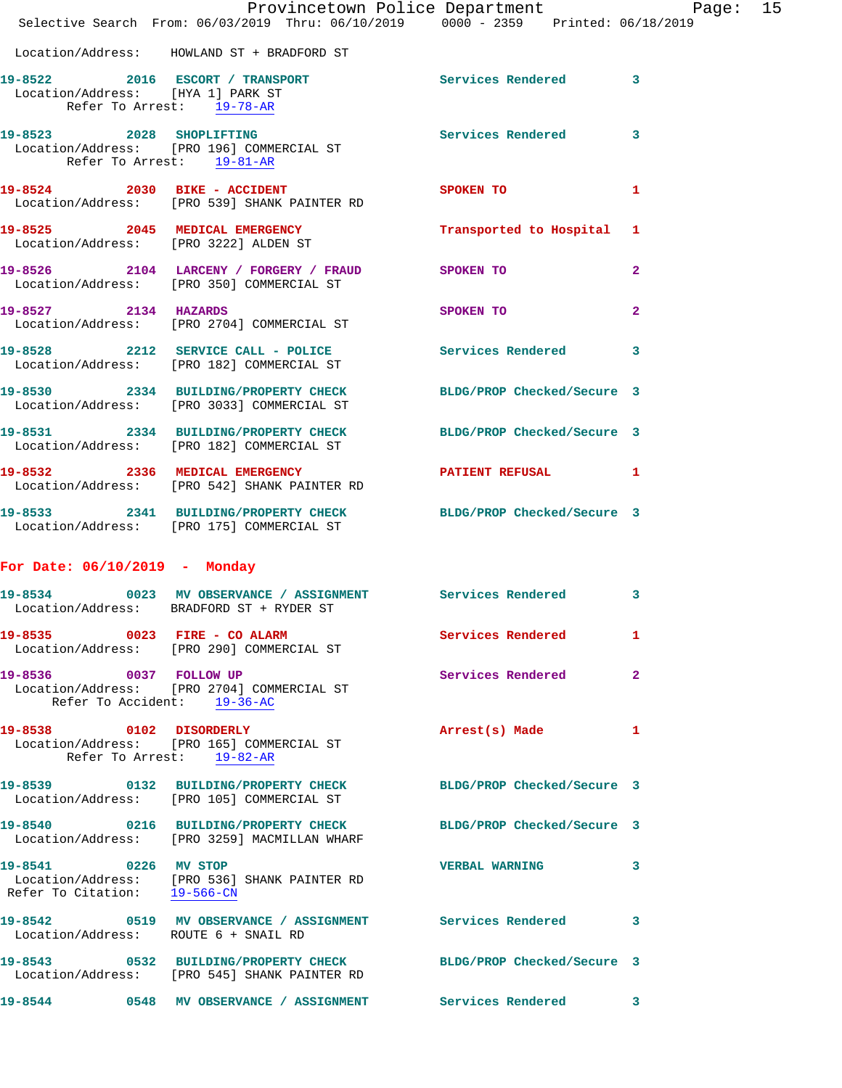|                                                       | Provincetown Police Department Page: 15<br>Selective Search From: 06/03/2019 Thru: 06/10/2019 0000 - 2359 Printed: 06/18/2019 |                           |                |
|-------------------------------------------------------|-------------------------------------------------------------------------------------------------------------------------------|---------------------------|----------------|
|                                                       | Location/Address: HOWLAND ST + BRADFORD ST                                                                                    |                           |                |
| Location/Address: [HYA 1] PARK ST                     | 19-8522 2016 ESCORT / TRANSPORT Services Rendered 3<br>Refer To Arrest: 19-78-AR                                              |                           |                |
| Refer To Arrest: 19-81-AR                             | 19-8523 2028 SHOPLIFTING<br>Location/Address: [PRO 196] COMMERCIAL ST                                                         | Services Rendered 3       |                |
|                                                       | 19-8524 2030 BIKE - ACCIDENT SPOKEN TO<br>Location/Address: [PRO 539] SHANK PAINTER RD                                        |                           | 1              |
|                                                       | 19-8525 2045 MEDICAL EMERGENCY<br>Location/Address: [PRO 3222] ALDEN ST                                                       | Transported to Hospital 1 |                |
|                                                       | 19-8526 2104 LARCENY / FORGERY / FRAUD SPOKEN TO<br>Location/Address: [PRO 350] COMMERCIAL ST                                 |                           | $\mathbf{2}$   |
| 19-8527 2134 HAZARDS                                  | Location/Address: [PRO 2704] COMMERCIAL ST                                                                                    | SPOKEN TO                 | $\overline{2}$ |
|                                                       | 19-8528 2212 SERVICE CALL - POLICE Services Rendered 3<br>Location/Address: [PRO 182] COMMERCIAL ST                           |                           |                |
|                                                       | 19-8530 2334 BUILDING/PROPERTY CHECK BLDG/PROP Checked/Secure 3<br>Location/Address: [PRO 3033] COMMERCIAL ST                 |                           |                |
|                                                       | 19-8531 2334 BUILDING/PROPERTY CHECK BLDG/PROP Checked/Secure 3<br>Location/Address: [PRO 182] COMMERCIAL ST                  |                           |                |
|                                                       | 19-8532 2336 MEDICAL EMERGENCY 2007 PATIENT REFUSAL 1<br>Location/Address: [PRO 542] SHANK PAINTER RD                         |                           |                |
|                                                       | 19-8533 2341 BUILDING/PROPERTY CHECK BLDG/PROP Checked/Secure 3<br>Location/Address: [PRO 175] COMMERCIAL ST                  |                           |                |
| For Date: $06/10/2019$ - Monday                       |                                                                                                                               |                           |                |
|                                                       | 19-8534 0023 MV OBSERVANCE / ASSIGNMENT Services Rendered<br>Location/Address: BRADFORD ST + RYDER ST                         |                           | $\mathbf{3}$   |
|                                                       | 19-8535 0023 FIRE - CO ALARM<br>Location/Address: [PRO 290] COMMERCIAL ST                                                     | Services Rendered 1       |                |
| 19-8536 0037 FOLLOW UP<br>Refer To Accident: 19-36-AC | Location/Address: [PRO 2704] COMMERCIAL ST                                                                                    | Services Rendered         | $\mathbf{2}$   |
|                                                       | 19-8538 0102 DISORDERLY<br>Location/Address: [PRO 165] COMMERCIAL ST<br>Refer To Arrest: 19-82-AR                             | Arrest(s) Made 1          |                |
|                                                       | 19-8539 0132 BUILDING/PROPERTY CHECK BLDG/PROP Checked/Secure 3<br>Location/Address: [PRO 105] COMMERCIAL ST                  |                           |                |
|                                                       | 19-8540 0216 BUILDING/PROPERTY CHECK BLDG/PROP Checked/Secure 3<br>Location/Address: [PRO 3259] MACMILLAN WHARF               |                           |                |
| 19-8541 0226 MV STOP<br>Refer To Citation: 19-566-CN  | Location/Address: [PRO 536] SHANK PAINTER RD                                                                                  | <b>VERBAL WARNING</b>     | 3              |
| Location/Address: ROUTE 6 + SNAIL RD                  | 19-8542 0519 MV OBSERVANCE / ASSIGNMENT Services Rendered                                                                     |                           | 3              |
|                                                       | 19-8543 0532 BUILDING/PROPERTY CHECK BLDG/PROP Checked/Secure 3<br>Location/Address: [PRO 545] SHANK PAINTER RD               |                           |                |
|                                                       |                                                                                                                               |                           | 3.             |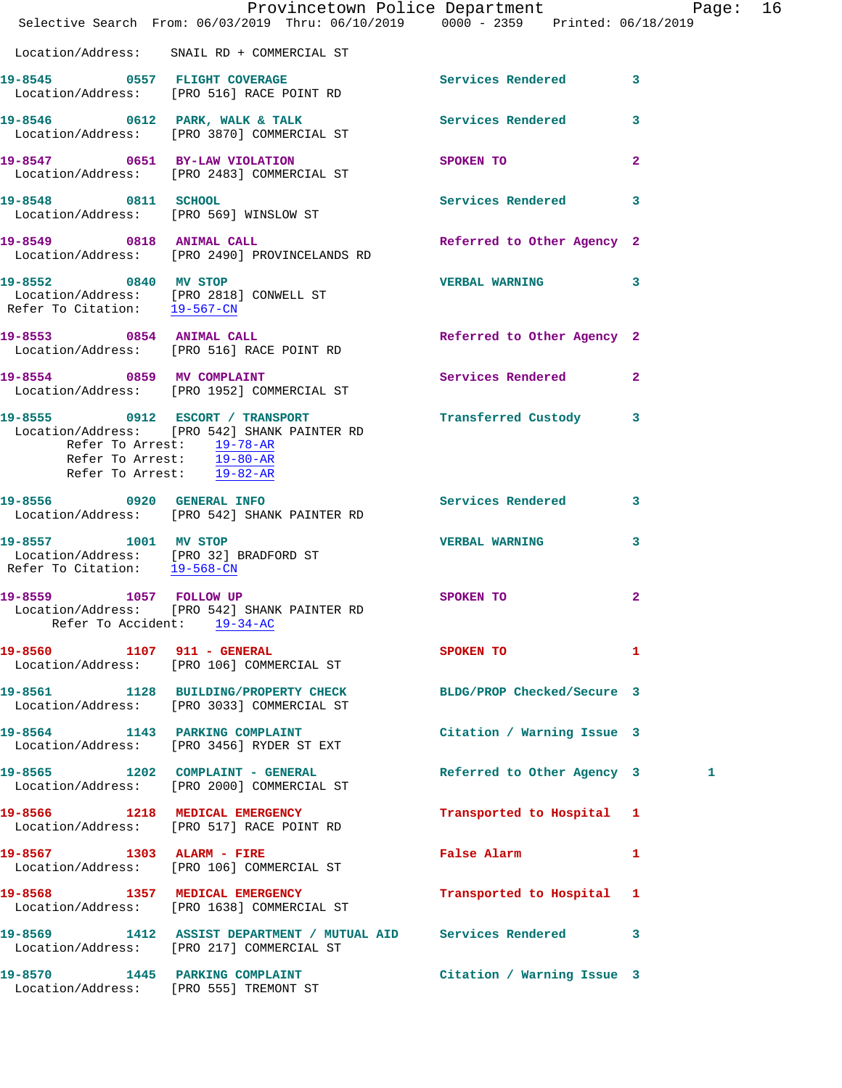|                                                        | Provincetown Police Department Page: 16<br>Selective Search From: 06/03/2019 Thru: 06/10/2019 0000 - 2359 Printed: 06/18/2019 |                            |                         |  |
|--------------------------------------------------------|-------------------------------------------------------------------------------------------------------------------------------|----------------------------|-------------------------|--|
|                                                        | Location/Address: SNAIL RD + COMMERCIAL ST                                                                                    |                            |                         |  |
|                                                        | 19-8545 0557 FLIGHT COVERAGE<br>Location/Address: [PRO 516] RACE POINT RD                                                     | Services Rendered 3        |                         |  |
|                                                        | 19-8546 0612 PARK, WALK & TALK<br>Location/Address: [PRO 3870] COMMERCIAL ST                                                  | <b>Services Rendered</b>   | $\overline{\mathbf{3}}$ |  |
|                                                        | 19-8547 0651 BY-LAW VIOLATION SPOKEN TO<br>Location/Address: [PRO 2483] COMMERCIAL ST                                         |                            | $\mathbf{2}$            |  |
|                                                        | 19-8548 0811 SCHOOL<br>Location/Address: [PRO 569] WINSLOW ST                                                                 | Services Rendered 3        |                         |  |
|                                                        | 19-8549 0818 ANIMAL CALL<br>Location/Address: [PRO 2490] PROVINCELANDS RD                                                     | Referred to Other Agency 2 |                         |  |
| Refer To Citation: 19-567-CN                           | 19-8552 0840 MV STOP<br>Location/Address: [PRO 2818] CONWELL ST                                                               | VERBAL WARNING 3           |                         |  |
|                                                        | 19-8553 0854 ANIMAL CALL<br>Location/Address: [PRO 516] RACE POINT RD                                                         | Referred to Other Agency 2 |                         |  |
|                                                        | 19-8554 0859 MV COMPLAINT<br>Location/Address: [PRO 1952] COMMERCIAL ST                                                       | Services Rendered 2        |                         |  |
| Refer To Arrest: 19-78-AR<br>Refer To Arrest: 19-82-AR | 19-8555 0912 ESCORT / TRANSPORT<br>Location/Address: [PRO 542] SHANK PAINTER RD<br>Refer To Arrest: $\frac{19-80-AR}{\pi}$    | Transferred Custody 3      |                         |  |
|                                                        | 19-8556 0920 GENERAL INFO<br>Location/Address: [PRO 542] SHANK PAINTER RD                                                     | Services Rendered          | 3                       |  |
| Refer To Citation: 19-568-CN                           | 19-8557 1001 MV STOP<br>Location/Address: [PRO 32] BRADFORD ST                                                                | <b>VERBAL WARNING</b>      | 3                       |  |
| Refer To Accident: 19-34-AC                            | 19-8559 1057 FOLLOW UP<br>Location/Address: [PRO 542] SHANK PAINTER RD                                                        | SPOKEN TO                  | 2                       |  |
| 19-8560 1107 911 - GENERAL                             | Location/Address: [PRO 106] COMMERCIAL ST                                                                                     | SPOKEN TO                  | 1                       |  |
|                                                        | 19-8561 1128 BUILDING/PROPERTY CHECK BLDG/PROP Checked/Secure 3<br>Location/Address: [PRO 3033] COMMERCIAL ST                 |                            |                         |  |
|                                                        | 19-8564 1143 PARKING COMPLAINT<br>Location/Address: [PRO 3456] RYDER ST EXT                                                   | Citation / Warning Issue 3 |                         |  |
|                                                        | 19-8565 1202 COMPLAINT - GENERAL<br>Location/Address: [PRO 2000] COMMERCIAL ST                                                | Referred to Other Agency 3 | 1                       |  |
|                                                        | 19-8566 1218 MEDICAL EMERGENCY<br>Location/Address: [PRO 517] RACE POINT RD                                                   | Transported to Hospital 1  |                         |  |
|                                                        | 19-8567 1303 ALARM - FIRE<br>Location/Address: [PRO 106] COMMERCIAL ST                                                        | False Alarm                | 1                       |  |
|                                                        | 19-8568 1357 MEDICAL EMERGENCY<br>Location/Address: [PRO 1638] COMMERCIAL ST                                                  | Transported to Hospital 1  |                         |  |
|                                                        | 19-8569 1412 ASSIST DEPARTMENT / MUTUAL AID Services Rendered<br>Location/Address: [PRO 217] COMMERCIAL ST                    |                            | 3                       |  |
|                                                        | 19-8570 1445 PARKING COMPLAINT<br>Location/Address: [PRO 555] TREMONT ST                                                      | Citation / Warning Issue 3 |                         |  |
|                                                        |                                                                                                                               |                            |                         |  |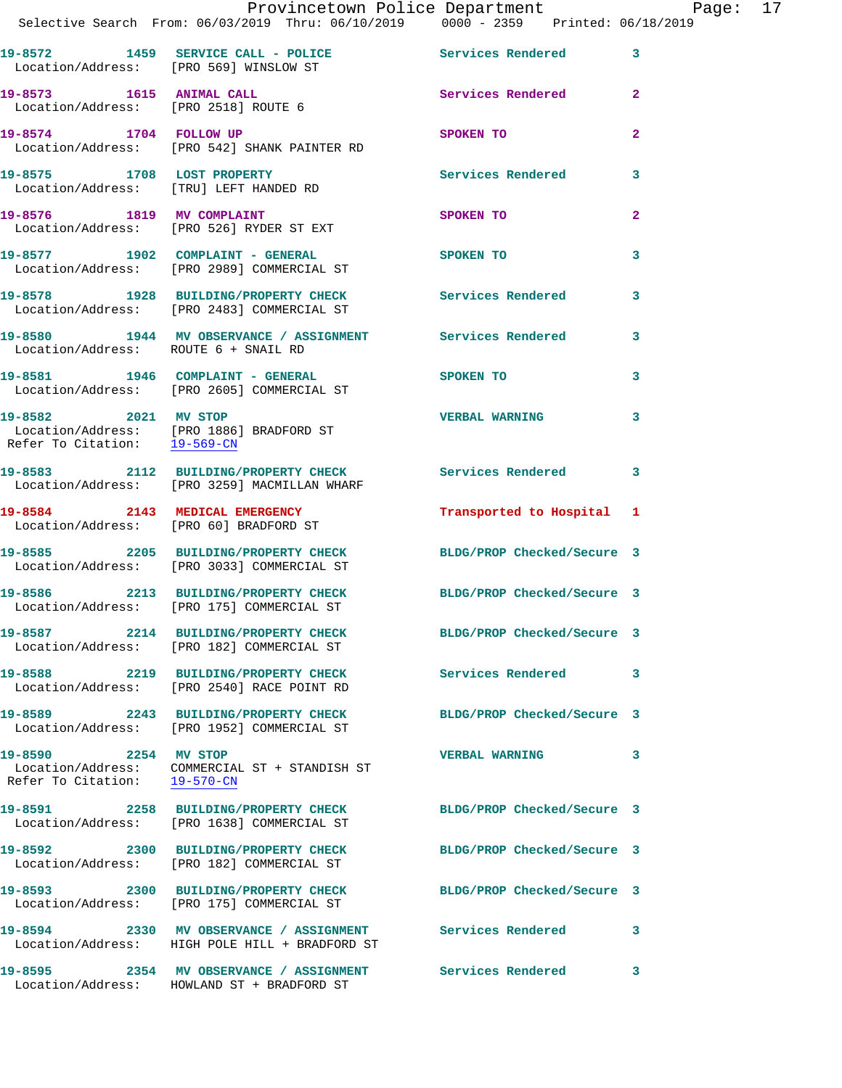|                                                      | Provincetown Police Department Page: 17<br>Selective Search From: 06/03/2019 Thru: 06/10/2019   0000 - 2359   Printed: 06/18/2019 |                            |              |
|------------------------------------------------------|-----------------------------------------------------------------------------------------------------------------------------------|----------------------------|--------------|
| Location/Address: [PRO 569] WINSLOW ST               | 19-8572 1459 SERVICE CALL - POLICE Services Rendered 3                                                                            |                            |              |
| Location/Address: [PRO 2518] ROUTE 6                 | 19-8573 1615 ANIMAL CALL                                                                                                          | Services Rendered          | $\mathbf{2}$ |
|                                                      | 19-8574 1704 FOLLOW UP<br>Location/Address: [PRO 542] SHANK PAINTER RD                                                            | SPOKEN TO                  | $\mathbf{2}$ |
|                                                      | 19-8575 1708 LOST PROPERTY<br>Location/Address: [TRU] LEFT HANDED RD                                                              | Services Rendered          | 3            |
|                                                      | 19-8576 1819 MV COMPLAINT<br>Location/Address: [PRO 526] RYDER ST EXT                                                             | <b>SPOKEN TO</b>           | $\mathbf{2}$ |
|                                                      | 19-8577 1902 COMPLAINT - GENERAL SPOKEN TO<br>Location/Address: [PRO 2989] COMMERCIAL ST                                          |                            | 3            |
|                                                      | 19-8578 1928 BUILDING/PROPERTY CHECK Services Rendered 3<br>Location/Address: [PRO 2483] COMMERCIAL ST                            |                            |              |
|                                                      | 19-8580 1944 MV OBSERVANCE / ASSIGNMENT Services Rendered<br>Location/Address: ROUTE 6 + SNAIL RD                                 |                            | 3            |
|                                                      | 19-8581 1946 COMPLAINT - GENERAL SPOKEN TO<br>Location/Address: [PRO 2605] COMMERCIAL ST                                          |                            | 3            |
|                                                      | 19-8582 2021 MV STOP<br>Location/Address: [PRO 1886] BRADFORD ST<br>Refer To Citation: $\frac{19-569-CN}{29-569-CN}$              | <b>VERBAL WARNING</b>      | 3            |
|                                                      | 19-8583 2112 BUILDING/PROPERTY CHECK Services Rendered 3<br>Location/Address: [PRO 3259] MACMILLAN WHARF                          |                            |              |
|                                                      | 19-8584 2143 MEDICAL EMERGENCY<br>Location/Address: [PRO 60] BRADFORD ST                                                          | Transported to Hospital 1  |              |
|                                                      | 19-8585<br>19-8585 2205 BUILDING/PROPERTY CHECK BLDG/PROP Checked/Secure 3<br>Location/Address: [PRO 3033] COMMERCIAL ST          |                            |              |
|                                                      | 19-8586 2213 BUILDING/PROPERTY CHECK<br>Location/Address: [PRO 175] COMMERCIAL ST                                                 | BLDG/PROP Checked/Secure 3 |              |
|                                                      | 19-8587 2214 BUILDING/PROPERTY CHECK BLDG/PROP Checked/Secure 3<br>Location/Address: [PRO 182] COMMERCIAL ST                      |                            |              |
|                                                      | 19-8588 2219 BUILDING/PROPERTY CHECK Services Rendered<br>Location/Address: [PRO 2540] RACE POINT RD                              |                            | 3            |
|                                                      | 19-8589 2243 BUILDING/PROPERTY CHECK BLDG/PROP Checked/Secure 3<br>Location/Address: [PRO 1952] COMMERCIAL ST                     |                            |              |
| 19-8590 2254 MV STOP<br>Refer To Citation: 19-570-CN | Location/Address: COMMERCIAL ST + STANDISH ST                                                                                     | <b>VERBAL WARNING</b>      | 3            |
|                                                      | 19-8591 2258 BUILDING/PROPERTY CHECK BLDG/PROP Checked/Secure 3<br>Location/Address: [PRO 1638] COMMERCIAL ST                     |                            |              |
|                                                      | 19-8592 2300 BUILDING/PROPERTY CHECK<br>Location/Address: [PRO 182] COMMERCIAL ST                                                 | BLDG/PROP Checked/Secure 3 |              |
|                                                      | 19-8593 2300 BUILDING/PROPERTY CHECK BLDG/PROP Checked/Secure 3<br>Location/Address: [PRO 175] COMMERCIAL ST                      |                            |              |
|                                                      | Location/Address: HIGH POLE HILL + BRADFORD ST                                                                                    |                            | 3            |
|                                                      | 19-8595 2354 MV OBSERVANCE / ASSIGNMENT Services Rendered<br>Location/Address: HOWLAND ST + BRADFORD ST                           |                            | 3            |